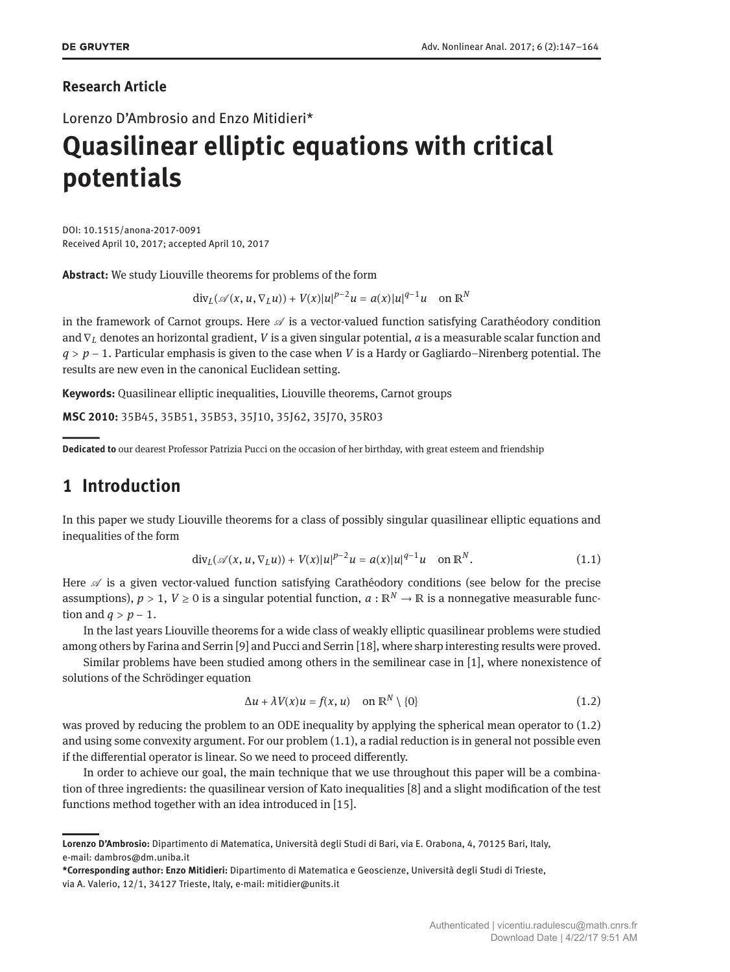## **Research Article**

Lorenzo D'Ambrosio and Enzo Mitidieri\*

# **Quasilinear elliptic equations with critical potentials**

DOI: 10.1515/anona-2017-0091 Received April 10, 2017; accepted April 10, 2017

**Abstract:** We study Liouville theorems for problems of the form

 $\frac{d}{dx}$  *div*<sub>*L*</sub>( $\mathscr{A}(x, u, \nabla_L u)$ ) +  $V(x)|u|^{p-2}u = a(x)|u|^{q-1}u$  on  $\mathbb{R}^N$ 

in the framework of Carnot groups. Here  $\mathcal A$  is a vector-valued function satisfying Carathéodory condition and ∇*<sup>L</sup>* denotes an horizontal gradient, *V* is a given singular potential, *a* is a measurable scalar function and *q* > *p* − 1. Particular emphasis is given to the case when *V* is a Hardy or Gagliardo–Nirenberg potential. The results are new even in the canonical Euclidean setting.

**Keywords:** Quasilinear elliptic inequalities, Liouville theorems, Carnot groups

**MSC 2010:** 35B45, 35B51, 35B53, 35J10, 35J62, 35J70, 35R03

||**Dedicated to** our dearest Professor Patrizia Pucci on the occasion of her birthday, with great esteem and friendship

# **1 Introduction**

In this paper we study Liouville theorems for a class of possibly singular quasilinear elliptic equations and inequalities of the form

<span id="page-0-1"></span>
$$
\text{div}_{L}(\mathscr{A}(x, u, \nabla_{L}u)) + V(x)|u|^{p-2}u = a(x)|u|^{q-1}u \quad \text{on } \mathbb{R}^{N}.
$$
 (1.1)

Here  $\mathscr A$  is a given vector-valued function satisfying Carathéodory conditions (see below for the precise assumptions),  $p > 1$ ,  $V \ge 0$  is a singular potential function,  $a : \mathbb{R}^N \to \mathbb{R}$  is a nonnegative measurable function and  $q > p - 1$ .

In the last years Liouville theorems for a wide class of weakly elliptic quasilinear problems were studied among others by Farina and Serrin [\[9\]](#page-17-1) and Pucci and Serrin [\[18\]](#page-17-2), where sharp interesting results were proved.

Similar problems have been studied among others in the semilinear case in [\[1\]](#page-17-3), where nonexistence of solutions of the Schrödinger equation

<span id="page-0-0"></span>
$$
\Delta u + \lambda V(x)u = f(x, u) \quad \text{on } \mathbb{R}^N \setminus \{0\} \tag{1.2}
$$

was proved by reducing the problem to an ODE inequality by applying the spherical mean operator to [\(1.2\)](#page-0-0) and using some convexity argument. For our problem [\(1.1\)](#page-0-1), a radial reduction is in general not possible even if the differential operator is linear. So we need to proceed differently.

In order to achieve our goal, the main technique that we use throughout this paper will be a combination of three ingredients: the quasilinear version of Kato inequalities [\[8\]](#page-17-4) and a slight modification of the test functions method together with an idea introduced in [\[15\]](#page-17-5).

**Lorenzo D'Ambrosio:** Dipartimento di Matematica, Università degli Studi di Bari, via E. Orabona, 4, 70125 Bari, Italy, e-mail: dambros@dm.uniba.it

**<sup>\*</sup>Corresponding author: Enzo Mitidieri:** Dipartimento di Matematica e Geoscienze, Università degli Studi di Trieste, via A. Valerio, 12/1, 34127 Trieste, Italy, e-mail: mitidier@units.it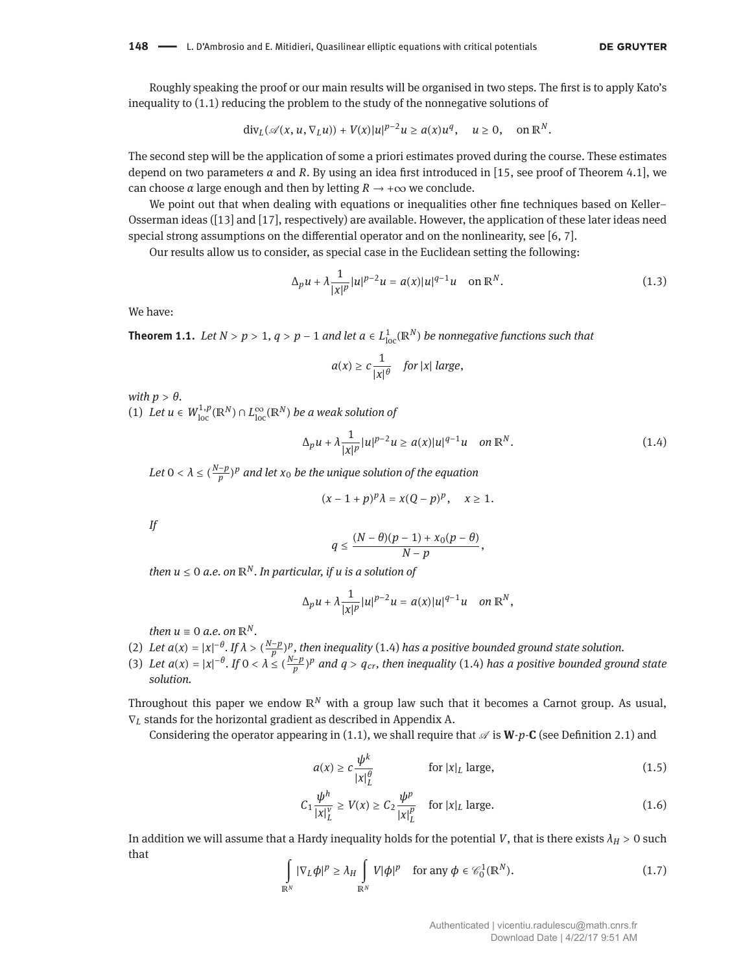Roughly speaking the proof or our main results will be organised in two steps. The first is to apply Kato's inequality to [\(1.1\)](#page-0-1) reducing the problem to the study of the nonnegative solutions of

$$
\mathrm{div}_L(\mathscr{A}(x,u,\nabla_L u))+V(x)|u|^{p-2}u\geq a(x)u^q,\quad u\geq 0,\quad\text{on }\mathbb{R}^N.
$$

The second step will be the application of some a priori estimates proved during the course. These estimates depend on two parameters  $\alpha$  and  $R$ . By using an idea first introduced in [\[15,](#page-17-5) see proof of Theorem 4.1], we can choose  $\alpha$  large enough and then by letting  $R \to +\infty$  we conclude.

We point out that when dealing with equations or inequalities other fine techniques based on Keller– Osserman ideas ([\[13\]](#page-17-6) and [\[17\]](#page-17-7), respectively) are available. However, the application of these later ideas need special strong assumptions on the differential operator and on the nonlinearity, see [\[6,](#page-17-8) [7\]](#page-17-9).

Our results allow us to consider, as special case in the Euclidean setting the following:

$$
\Delta_p u + \lambda \frac{1}{|x|^p} |u|^{p-2} u = a(x)|u|^{q-1} u \quad \text{on } \mathbb{R}^N.
$$
 (1.3)

We have:

**Theorem 1.1.** *Let*  $N > p > 1$ ,  $q > p - 1$  *and let*  $a \in L^1_{loc}(\mathbb{R}^N)$  *be nonnegative functions such that* 

$$
a(x) \geq c \frac{1}{|x|^{\theta}} \quad \textit{for } |x| \textit{ large},
$$

*with*  $p > \theta$ .

(1) Let  $u \in W^{1,p}_{loc}(\mathbb{R}^N) \cap L^{\infty}_{loc}(\mathbb{R}^N)$  *be a weak solution of* 

<span id="page-1-0"></span>
$$
\Delta_p u + \lambda \frac{1}{|x|^p} |u|^{p-2} u \ge a(x)|u|^{q-1} u \quad on \, \mathbb{R}^N. \tag{1.4}
$$

Let  $0 < \lambda \le (\frac{N-p}{p})^p$  and let  $x_0$  be the unique solution of the equation

$$
(x-1+p)^p\lambda = x(Q-p)^p, \quad x \ge 1.
$$

*If*

$$
q\leq \frac{(N-\theta)(p-1)+x_0(p-\theta)}{N-p},
$$

*then*  $u \le 0$  *a.e.* on  $\mathbb{R}^N$ *. In particular, if u is a solution of* 

$$
\Delta_p u + \lambda \frac{1}{|x|^p} |u|^{p-2} u = a(x)|u|^{q-1}u \quad on \, \mathbb{R}^N,
$$

*then*  $u \equiv 0$  *a.e.* on  $\mathbb{R}^N$ .

- (2) Let  $a(x) = |x|^{-\theta}$ . If  $\lambda > (\frac{N-p}{p})^p$ , then inequality [\(1.4\)](#page-1-0) has a positive bounded ground state solution.
- (3) Let  $a(x) = |x|^{-\theta}$ . If  $0 < \lambda \leq \frac{N-p}{p}p$  and  $q > q_{cr}$ , then inequality [\(1.4\)](#page-1-0) has a positive bounded ground state *solution.*

Throughout this paper we endow ℝ*<sup>N</sup>* with a group law such that it becomes a Carnot group. As usual, ∇*<sup>L</sup>* stands for the horizontal gradient as described in Appendix [A.](#page-13-0)

Considering the operator appearing in [\(1.1\)](#page-0-1), we shall require that  $\mathscr A$  is  $W$ -*p*-**C** (see Definition [2.1\)](#page-2-0) and

<span id="page-1-3"></span><span id="page-1-2"></span>
$$
a(x) \ge c \frac{\psi^k}{|x|_L^{\theta}} \qquad \text{for } |x|_L \text{ large}, \tag{1.5}
$$

$$
C_1 \frac{\psi^h}{|x|_L^v} \ge V(x) \ge C_2 \frac{\psi^p}{|x|_L^p} \quad \text{for } |x|_L \text{ large.}
$$
 (1.6)

In addition we will assume that a Hardy inequality holds for the potential *V*, that is there exists  $\lambda_H > 0$  such that

<span id="page-1-1"></span>
$$
\int_{\mathbb{R}^N} |\nabla_L \phi|^p \ge \lambda_H \int_{\mathbb{R}^N} V |\phi|^p \quad \text{for any } \phi \in \mathcal{C}_0^1(\mathbb{R}^N). \tag{1.7}
$$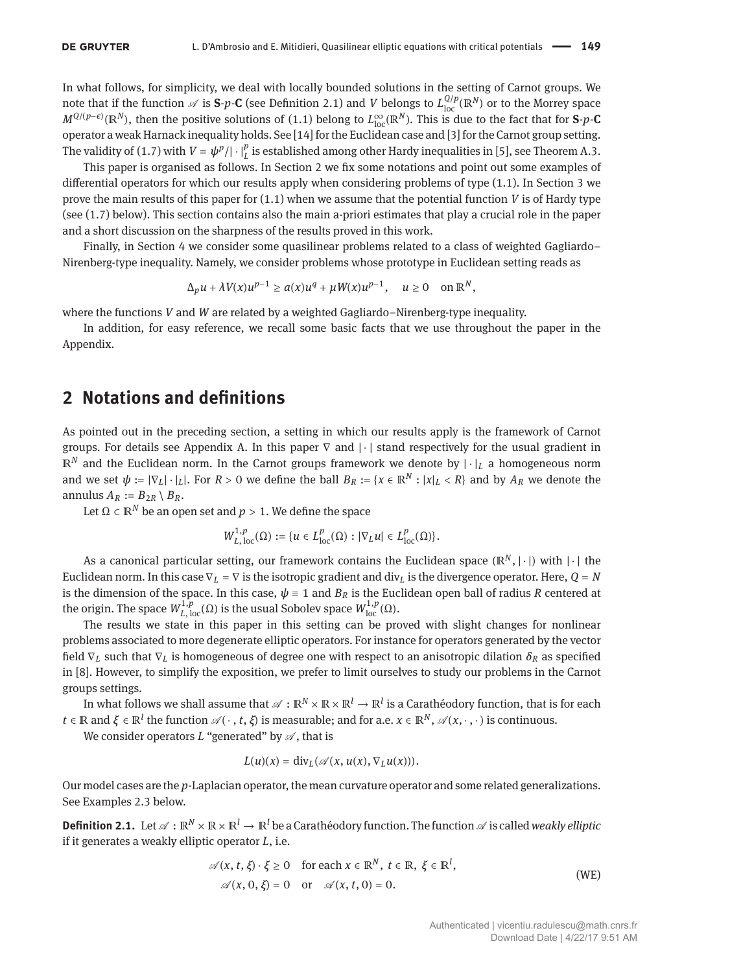In what follows, for simplicity, we deal with locally bounded solutions in the setting of Carnot groups. We note that if the function  $\mathscr A$  is **S**-*p*-**C** (see Definition [2.1\)](#page-2-0) and *V* belongs to  $L^{Q/p}_{loc}(\mathbb R^N)$  or to the Morrey space  $M^{Q/(p-ε)}$ (ℝ<sup>*N*</sup>), then the positive solutions of [\(1.1\)](#page-0-1) belong to  $L^{\infty}_{loc}(\mathbb{R}^N)$ . This is due to the fact that for **S**-*p*-**C** operator a weak Harnack inequality holds. See [\[14\]](#page-17-10) for the Euclidean case and [\[3\]](#page-17-11) for the Carnot group setting. The validity of [\(1.7\)](#page-1-1) with  $V = \psi^p/|\cdot|_L^p$  is established among other Hardy inequalities in [\[5\]](#page-17-12), see Theorem [A.3.](#page-16-0)

This paper is organised as follows. In Section [2](#page-2-1) we fix some notations and point out some examples of differential operators for which our results apply when considering problems of type [\(1.1\)](#page-0-1). In Section [3](#page-3-0) we prove the main results of this paper for [\(1.1\)](#page-0-1) when we assume that the potential function *V* is of Hardy type (see [\(1.7\)](#page-1-1) below). This section contains also the main a-priori estimates that play a crucial role in the paper and a short discussion on the sharpness of the results proved in this work.

Finally, in Section [4](#page-12-0) we consider some quasilinear problems related to a class of weighted Gagliardo– Nirenberg-type inequality. Namely, we consider problems whose prototype in Euclidean setting reads as

$$
\Delta_p u + \lambda V(x)u^{p-1} \ge a(x)u^q + \mu W(x)u^{p-1}, \quad u \ge 0 \quad \text{on } \mathbb{R}^N,
$$

where the functions *V* and *W* are related by a weighted Gagliardo–Nirenberg-type inequality.

In addition, for easy reference, we recall some basic facts that we use throughout the paper in the Appendix.

## <span id="page-2-1"></span>**2 Notations and definitions**

As pointed out in the preceding section, a setting in which our results apply is the framework of Carnot groups. For details see Appendix [A.](#page-13-0) In this paper  $\nabla$  and  $|\cdot|$  stand respectively for the usual gradient in ℝ*<sup>N</sup>* and the Euclidean norm. In the Carnot groups framework we denote by | ⋅ |*<sup>L</sup>* a homogeneous norm and we set  $\psi := |\nabla_L| \cdot |_L|$ . For  $R > 0$  we define the ball  $B_R := \{x \in \mathbb{R}^N : |x|_L < R\}$  and by  $A_R$  we denote the annulus  $A_R := B_{2R} \setminus B_R$ .

Let  $\Omega \subset \mathbb{R}^N$  be an open set and  $p > 1$ . We define the space

$$
W^{1,p}_{L,\,{\rm loc}}(\Omega):=\{u\in L^p_{\rm loc}(\Omega):\,|\nabla_Lu|\in L^p_{\rm loc}(\Omega)\}.
$$

As a canonical particular setting, our framework contains the Euclidean space (ℝ<sup>N</sup>, | ⋅ |) with | ⋅ | the Euclidean norm. In this case  $\nabla_L = \nabla$  is the isotropic gradient and div<sub>L</sub> is the divergence operator. Here,  $Q = N$ is the dimension of the space. In this case,  $\psi \equiv 1$  and  $B_R$  is the Euclidean open ball of radius *R* centered at the origin. The space  $W^{1,p}_{L,\,{\textup{loc}}}(\Omega)$  is the usual Sobolev space  $W^{1,p}_{\mathrm{loc}}(\Omega)$ .

The results we state in this paper in this setting can be proved with slight changes for nonlinear problems associated to more degenerate elliptic operators. For instance for operators generated by the vector field ∇*<sup>L</sup>* such that ∇*<sup>L</sup>* is homogeneous of degree one with respect to an anisotropic dilation *δ<sup>R</sup>* as specified in [\[8\]](#page-17-4). However, to simplify the exposition, we prefer to limit ourselves to study our problems in the Carnot groups settings.

In what follows we shall assume that  $\mathscr{A}:\R^N\times\R\times\R^l\to\R^l$  is a Carathéodory function, that is for each  $t \in \mathbb{R}$  and  $\xi \in \mathbb{R}^l$  the function  $\mathscr{A}(\cdot, t, \xi)$  is measurable; and for a.e.  $x \in \mathbb{R}^N$ ,  $\mathscr{A}(x, \cdot, \cdot)$  is continuous.

We consider operators  $L$  "generated" by  $\mathscr A$ , that is

<span id="page-2-2"></span>
$$
L(u)(x)=\mathrm{div}_L(\mathcal{A}(x,u(x),\nabla_Lu(x))).
$$

Our model cases are the *p*-Laplacian operator, the mean curvature operator and some related generalizations. See Examples [2.3](#page-3-1) below.

<span id="page-2-0"></span>**Definition 2.1.** Let  $\mathcal{A}: \mathbb{R}^N \times \mathbb{R} \times \mathbb{R}^l \to \mathbb{R}^l$  be a Carathéodory function. The function  $\mathcal{A}$  is called *weakly elliptic* if it generates a weakly elliptic operator *L*, i.e.

$$
\mathscr{A}(x, t, \xi) \cdot \xi \ge 0 \quad \text{for each } x \in \mathbb{R}^N, \ t \in \mathbb{R}, \ \xi \in \mathbb{R}^l, \mathscr{A}(x, 0, \xi) = 0 \quad \text{or} \quad \mathscr{A}(x, t, 0) = 0.
$$
\n(WE)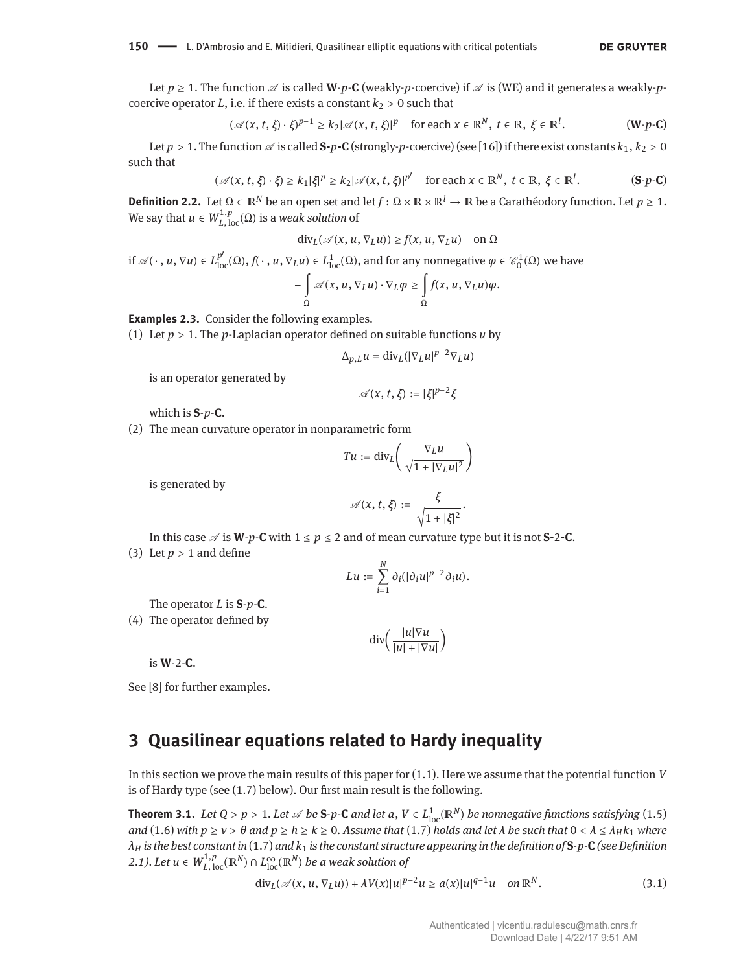Let  $p \ge 1$ . The function  $\mathcal A$  is called **W**-*p*-**C** (weakly-*p*-coercive) if  $\mathcal A$  is [\(WE\)](#page-2-2) and it generates a weakly-*p*coercive operator *L*, i.e. if there exists a constant  $k_2 > 0$  such that

$$
(\mathscr{A}(x,t,\xi)\cdot\xi)^{p-1}\geq k_2|\mathscr{A}(x,t,\xi)|^p\quad\text{for each }x\in\mathbb{R}^N,\ t\in\mathbb{R},\ \xi\in\mathbb{R}^l.\tag{W-p-C}
$$

Let  $p > 1$ . The function  $\mathscr A$  is called  $S-p-C$  (strongly-*p*-coercive) (see [\[16\]](#page-17-13)) if there exist constants  $k_1, k_2 > 0$ such that

$$
(\mathscr{A}(x, t, \xi) \cdot \xi) \ge k_1 |\xi|^p \ge k_2 |\mathscr{A}(x, t, \xi)|^{p'} \quad \text{for each } x \in \mathbb{R}^N, \ t \in \mathbb{R}, \ \xi \in \mathbb{R}^l. \tag{S-p-C}
$$

<span id="page-3-2"></span>**Definition 2.2.** Let  $\Omega \subset \mathbb{R}^N$  be an open set and let  $f : \Omega \times \mathbb{R} \times \mathbb{R}^l \to \mathbb{R}$  be a Carathéodory function. Let  $p \ge 1$ . We say that  $u \in W^{1,p}_{L,\,\text{loc}}(\Omega)$  is a *weak solution* of

$$
\mathrm{div}_L(\mathscr{A}(x, u, \nabla_L u)) \ge f(x, u, \nabla_L u) \quad \text{on } \Omega
$$

if  $\mathscr{A}(\cdot, u, \nabla u) \in L^{p'}_{loc}(\Omega)$ ,  $f(\cdot, u, \nabla_L u) \in L^1_{loc}(\Omega)$ , and for any nonnegative  $\varphi \in \mathscr{C}_0^1(\Omega)$  we have −∫  $\Omega$  $\mathscr{A}(x, u, \nabla_L u) \cdot \nabla_L \varphi \geq 0$  $\Omega$  $f(x, u, \nabla_L u)\varphi$ .

<span id="page-3-1"></span>**Examples 2.3.** Consider the following examples.

(1) Let *p* > 1. The *p*-Laplacian operator defined on suitable functions *u* by

$$
\Delta_{p,L} u = \text{div}_{L} (|\nabla_{L} u|^{p-2} \nabla_{L} u)
$$

is an operator generated by

$$
\mathscr{A}(x,t,\xi):=|\xi|^{p-2}\xi
$$

which is **S**-*p*-**C**.

(2) The mean curvature operator in nonparametric form

$$
Tu := \text{div}_L\left(\frac{\nabla_L u}{\sqrt{1+|\nabla_L u|^2}}\right)
$$

is generated by

$$
\mathscr{A}(x, t, \xi) := \frac{\xi}{\sqrt{1 + |\xi|^2}}.
$$

In this case  $\mathscr A$  is **W**-*p*-**C** with  $1 \le p \le 2$  and of mean curvature type but it is not **S-2-C**. (3) Let  $p > 1$  and define

$$
Lu:=\sum_{i=1}^N\partial_i(|\partial_iu|^{p-2}\partial_iu).
$$

The operator *L* is **S**-*p*-**C**.

(4) The operator defined by

$$
\operatorname{div}\left(\frac{|u|\nabla u}{|u|+|\nabla u|}\right)
$$

is **W**-2-**C**.

See [\[8\]](#page-17-4) for further examples.

## <span id="page-3-0"></span>**3 Quasilinear equations related to Hardy inequality**

In this section we prove the main results of this paper for [\(1.1\)](#page-0-1). Here we assume that the potential function *V* is of Hardy type (see [\(1.7\)](#page-1-1) below). Our first main result is the following.

<span id="page-3-3"></span>**Theorem 3.1.** Let  $Q > p > 1$ . Let  $\mathscr A$  be  $S$ -p-C and let  $a, V \in L^1_{loc}(\mathbb R^N)$  be nonnegative functions satisfying  $(1.5)$ and [\(1.6\)](#page-1-3) with  $p \ge v > \theta$  and  $p \ge h \ge k \ge 0$ . Assume that [\(1.7\)](#page-1-1) holds and let  $\lambda$  be such that  $0 < \lambda \le \lambda_H k_1$  where *λ<sup>H</sup> is the best constant in* [\(1.7\)](#page-1-1) *and k*<sup>1</sup> *is the constant structure appearing in the definition of* **S***-p-***C** *(see Definition [2.1\)](#page-2-0). Let u* ∈  $W_{L, \, \text{loc}}^{1,p}(\mathbb{R}^N) \cap L_{\text{loc}}^{\infty}(\mathbb{R}^N)$  *be a weak solution of* 

<span id="page-3-4"></span>
$$
\operatorname{div}_{L}(\mathscr{A}(x, u, \nabla_{L}u)) + \lambda V(x)|u|^{p-2}u \geq a(x)|u|^{q-1}u \quad \text{on } \mathbb{R}^{N}.
$$
 (3.1)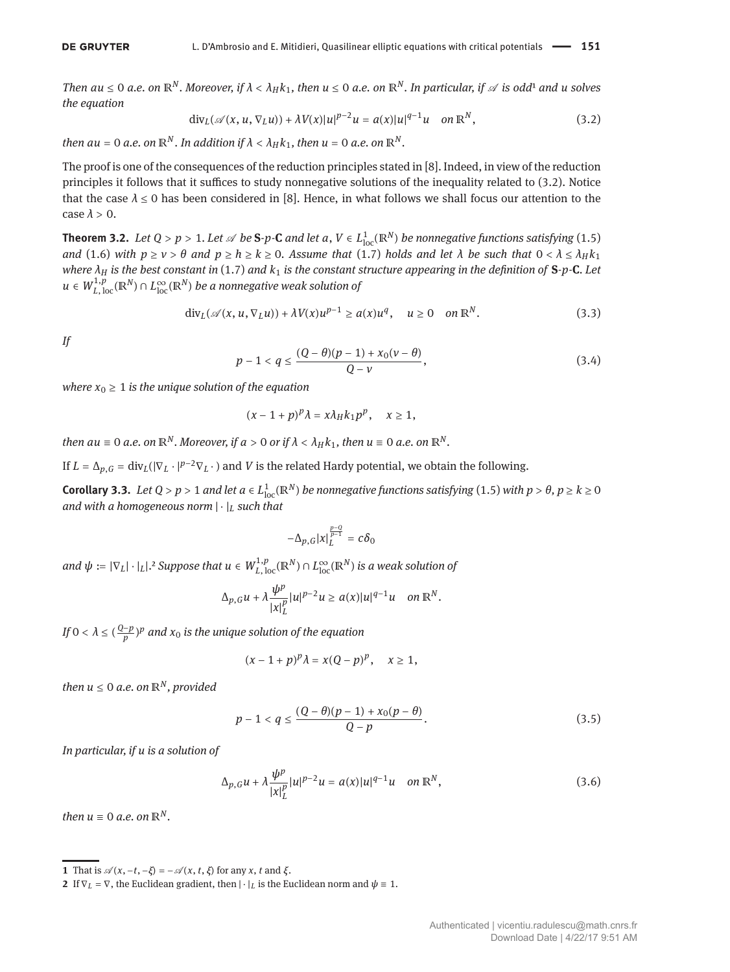Then au  $\leq 0$  a.e. on  $\mathbb{R}^N$ . Moreover, if  $\lambda < \lambda_H k_1$ , then  $u \leq 0$  a.e. on  $\mathbb{R}^N$ . In particular, if  $\mathscr A$  is odd<sup>1</sup> and u solves *the equation*

<span id="page-4-1"></span>
$$
\operatorname{div}_{L}(\mathscr{A}(x, u, \nabla_{L}u)) + \lambda V(x)|u|^{p-2}u = a(x)|u|^{q-1}u \quad \text{on } \mathbb{R}^{N}, \tag{3.2}
$$

*then*  $au = 0$  *a.e.* on  $\mathbb{R}^N$ *. In addition if*  $\lambda < \lambda_H k_1$ *, then*  $u = 0$  *a.e.* on  $\mathbb{R}^N$ *.* 

The proof is one of the consequences of the reduction principles stated in [\[8\]](#page-17-4). Indeed, in view of the reduction principles it follows that it suffices to study nonnegative solutions of the inequality related to [\(3.2\)](#page-4-1). Notice that the case *λ* ≤ 0 has been considered in [\[8\]](#page-17-4). Hence, in what follows we shall focus our attention to the case  $\lambda > 0$ .

<span id="page-4-6"></span>**Theorem 3.2.** Let  $Q > p > 1$ . Let  $\mathscr A$  be  $S$ -p-C and let  $a, V \in L^1_{loc}(\mathbb R^N)$  be nonnegative functions satisfying  $(1.5)$ *and* [\(1.6\)](#page-1-3) *with*  $p \ge v > \theta$  *and*  $p \ge h \ge k \ge 0$ . Assume that [\(1.7\)](#page-1-1) holds and let  $\lambda$  be such that  $0 < \lambda \le \lambda_H k_1$ *where λ<sup>H</sup> is the best constant in* [\(1.7\)](#page-1-1) *and k*<sup>1</sup> *is the constant structure appearing in the definition of* **S***-p-***C***. Let u* ∈  $W^{1,p}_{L,\,{\rm loc}}(\mathbb{R}^{N})$  ∩  $L^{\infty}_{\rm loc}(\mathbb{R}^{N})$  *be a nonnegative weak solution of* 

<span id="page-4-5"></span>
$$
\operatorname{div}_{L}(\mathscr{A}(x, u, \nabla_{L}u)) + \lambda V(x)u^{p-1} \ge a(x)u^{q}, \quad u \ge 0 \quad \text{on } \mathbb{R}^{N}.
$$
 (3.3)

*If*

<span id="page-4-3"></span>
$$
p-1 < q \leq \frac{(Q-\theta)(p-1) + x_0(\nu-\theta)}{Q-\nu},
$$
\n(3.4)

*where*  $x_0 \geq 1$  *is the unique solution of the equation* 

$$
(x-1+p)^p\lambda = x\lambda_H k_1 p^p, \quad x \ge 1,
$$

*then*  $au \equiv 0$  *a.e.* on  $\mathbb{R}^N$ *. Moreover, if*  $a > 0$  *or if*  $\lambda < \lambda_H k_1$ *, then*  $u \equiv 0$  *a.e.* on  $\mathbb{R}^N$ *.* 

If  $L = \Delta_{p,G} = \text{div}_L(|\nabla_L \cdot |^{p-2} \nabla_L \cdot)$  and *V* is the related Hardy potential, we obtain the following.

<span id="page-4-7"></span>**Corollary 3.3.** Let  $Q > p > 1$  and let  $a \in L^1_{loc}(\mathbb{R}^N)$  be nonnegative functions satisfying [\(1.5\)](#page-1-2) with  $p > \theta, p \ge k \ge 0$ *and with a homogeneous norm* | ⋅ |*<sup>L</sup> such that*

$$
-\Delta_{p,G}|x|_L^{\frac{p-Q}{p-1}}=c\delta_0
$$

 $and \ \psi := |\nabla_L| \cdot |_L|$ .<sup>2</sup> Suppose that  $u \in W^{1,p}_{L,\,{\rm loc}}(\mathbb{R}^N) \cap L^{\infty}_{\rm loc}(\mathbb{R}^N)$  is a weak solution of

$$
\Delta_{p,G} u + \lambda \frac{\psi^p}{|x|_L^p} |u|^{p-2} u \geq a(x) |u|^{q-1} u \quad \text{on } \mathbb{R}^N.
$$

*If*  $0 < \lambda \leq (\frac{Q-p}{p})^p$  and  $x_0$  is the unique solution of the equation

$$
(x-1+p)^p\lambda = x(Q-p)^p, \quad x \ge 1,
$$

*then*  $u \leq 0$  *a.e.* on  $\mathbb{R}^N$ *, provided* 

$$
p-1 < q \leq \frac{(Q-\theta)(p-1) + x_0(p-\theta)}{Q-p}.
$$
\n(3.5)

*In particular, if u is a solution of*

<span id="page-4-4"></span>
$$
\Delta_{p,G} u + \lambda \frac{\psi^p}{|x|_L^p} |u|^{p-2} u = a(x)|u|^{q-1} u \quad \text{on } \mathbb{R}^N,
$$
\n(3.6)

*then*  $u \equiv 0$  *a.e.* on  $\mathbb{R}^N$ .

<span id="page-4-0"></span>**<sup>1</sup>** That is  $\mathcal{A}(x, -t, -\xi) = -\mathcal{A}(x, t, \xi)$  for any *x*, *t* and  $\xi$ .

<span id="page-4-2"></span>**<sup>2</sup>** If  $\nabla$ *L* =  $\nabla$ *,* the Euclidean gradient, then  $|\cdot|$ *L* is the Euclidean norm and  $\psi \equiv 1$ *.*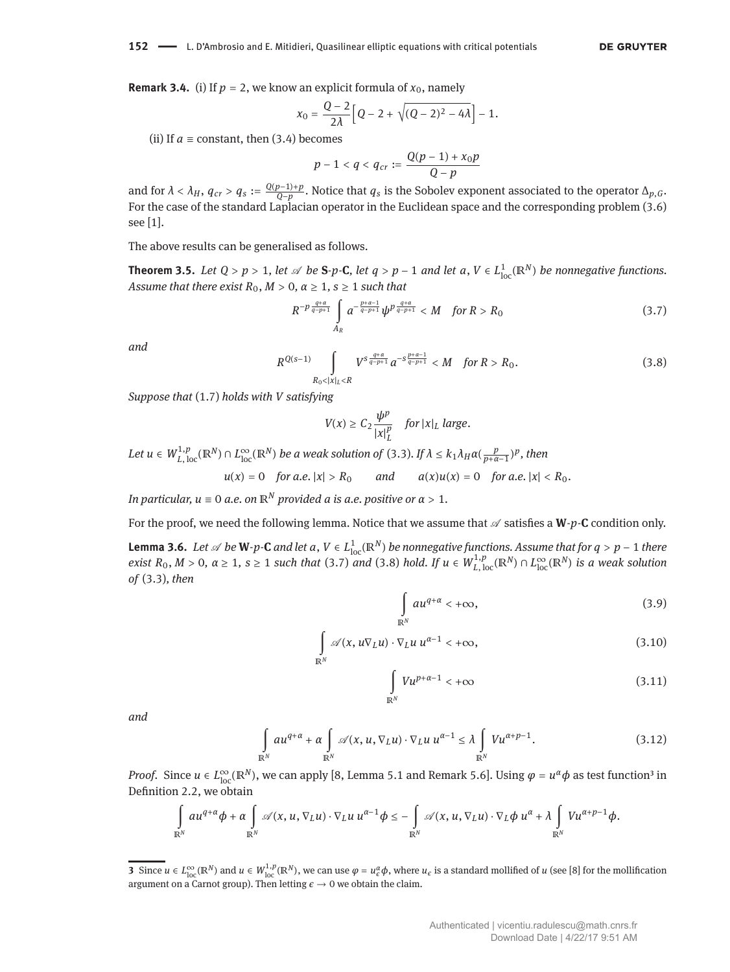**Remark 3.4.** (i) If  $p = 2$ , we know an explicit formula of  $x_0$ , namely

$$
x_0 = \frac{Q-2}{2\lambda} \Big[ Q - 2 + \sqrt{(Q-2)^2 - 4\lambda} \Big] - 1.
$$

(ii) If  $a \equiv$  constant, then [\(3.4\)](#page-4-3) becomes

$$
p-1 < q < q_{cr} := \frac{Q(p-1) + x_0 p}{Q - p}
$$

and for  $\lambda < \lambda_H$ ,  $q_{cr} > q_s := \frac{Q(p-1)+p}{Q-p}$ . Notice that  $q_s$  is the Sobolev exponent associated to the operator  $\Delta_{p,G}$ . For the case of the standard Laplacian operator in the Euclidean space and the corresponding problem [\(3.6\)](#page-4-4) see [\[1\]](#page-17-3).

The above results can be generalised as follows.

<span id="page-5-8"></span>**Theorem 3.5.** Let  $Q > p > 1$ , let  $\mathscr A$  be S-p-C, let  $q > p-1$  and let  $a, V \in L^1_{loc}(\mathbb{R}^N)$  be nonnegative functions. *Assume that there exist*  $R_0$ ,  $M > 0$ ,  $\alpha \ge 1$ ,  $s \ge 1$  *such that* 

<span id="page-5-0"></span>
$$
R^{-p\frac{q+a}{q-p+1}} \int\limits_{A_R} a^{-\frac{p+a-1}{q-p+1}} \psi^{p\frac{q+a}{q-p+1}} < M \quad \text{for } R > R_0
$$
 (3.7)

*and*

<span id="page-5-1"></span>
$$
R^{Q(s-1)} \int\limits_{R_0 < |x|_L < R} V^s \frac{q+a}{q-p+1} a^{-s \frac{p+a-1}{q-p+1}} < M \quad \text{for } R > R_0. \tag{3.8}
$$

*Suppose that* [\(1.7\)](#page-1-1) *holds with V satisfying*

$$
V(x) \geq C_2 \frac{\psi^p}{|x|_L^p} \quad \text{for } |x|_L \text{ large.}
$$

Let  $u \in W^{1,p}_{L,\,{\rm loc}}(\mathbb{R}^N) \cap L^\infty_{\rm loc}(\mathbb{R}^N)$  be a weak solution of [\(3.3\)](#page-4-5). If  $\lambda \leq k_1 \lambda_H$ a $(\frac{p}{p+\alpha-1})^p$ , then

$$
u(x) = 0
$$
 for a.e.  $|x| > R_0$  and  $a(x)u(x) = 0$  for a.e.  $|x| < R_0$ .

*In particular,*  $u \equiv 0$  *a.e.* on  $\mathbb{R}^N$  *provided a is a.e. positive or*  $\alpha > 1$ *.* 

For the proof, we need the following lemma. Notice that we assume that  $\mathscr A$  satisfies a **W**-*p*-**C** condition only.

<span id="page-5-7"></span>**Lemma 3.6.** *Let* ∅ *be* **W***-p*<sup>-</sup>**C** *and let a*,  $V ∈ L<sup>1</sup><sub>loc</sub>(ℝ<sup>N</sup>)$  *be nonnegative functions. Assume that for q* > *p* − 1 *there* exist  $R_0$ ,  $M > 0$ ,  $\alpha \ge 1$ ,  $s \ge 1$  such that [\(3.7\)](#page-5-0) and [\(3.8\)](#page-5-1) hold. If  $u \in W^{1,p}_{L,\text{loc}}(\mathbb{R}^N) \cap L^{\infty}_{\text{loc}}(\mathbb{R}^N)$  is a weak solution *of* [\(3.3\)](#page-4-5)*, then*

<span id="page-5-5"></span><span id="page-5-4"></span><span id="page-5-3"></span>
$$
\int_{\mathbb{R}^N} a u^{q+\alpha} < +\infty,
$$
\n(3.9)

$$
\int_{\mathbb{R}^N} \mathscr{A}(x, u\nabla_L u) \cdot \nabla_L u \, u^{\alpha - 1} < +\infty,\tag{3.10}
$$

<span id="page-5-6"></span>
$$
\int_{\mathbb{R}^N} V u^{p+\alpha-1} < +\infty \tag{3.11}
$$

*and*

$$
\int_{\mathbb{R}^N} a u^{q+\alpha} + \alpha \int_{\mathbb{R}^N} \mathscr{A}(x, u, \nabla_L u) \cdot \nabla_L u \, u^{\alpha-1} \le \lambda \int_{\mathbb{R}^N} V u^{\alpha+p-1}.
$$
\n(3.12)

*Proof.* Since  $u \in L^{\infty}_{loc}(\mathbb{R}^{N})$ , we can apply [\[8,](#page-17-4) Lemma 5.1 and Remark 5.6]. Using  $\varphi = u^{\alpha}\phi$  as test function<sup>3</sup> in Definition [2.2,](#page-3-2) we obtain

$$
\int\limits_{\mathbb{R}^N} au^{q+\alpha}\phi + \alpha\int\limits_{\mathbb{R}^N} \mathscr{A}(x,u,\nabla_Lu)\cdot \nabla_Lu \ u^{\alpha-1}\phi \leq -\int\limits_{\mathbb{R}^N} \mathscr{A}(x,u,\nabla_Lu)\cdot \nabla_L\phi \ u^{\alpha} + \lambda\int\limits_{\mathbb{R}^N} Vu^{\alpha+p-1}\phi.
$$

<span id="page-5-2"></span><sup>3</sup> Since  $u \in L^{\infty}_{loc}(\mathbb{R}^N)$  and  $u \in W^{1,p}_{loc}(\mathbb{R}^N)$ , we can use  $\varphi = u^{\alpha}_{\varepsilon} \phi$ , where  $u_{\varepsilon}$  is a standard mollified of  $u$  (see [\[8\]](#page-17-4) for the mollification argument on a Carnot group). Then letting  $\epsilon \to 0$  we obtain the claim.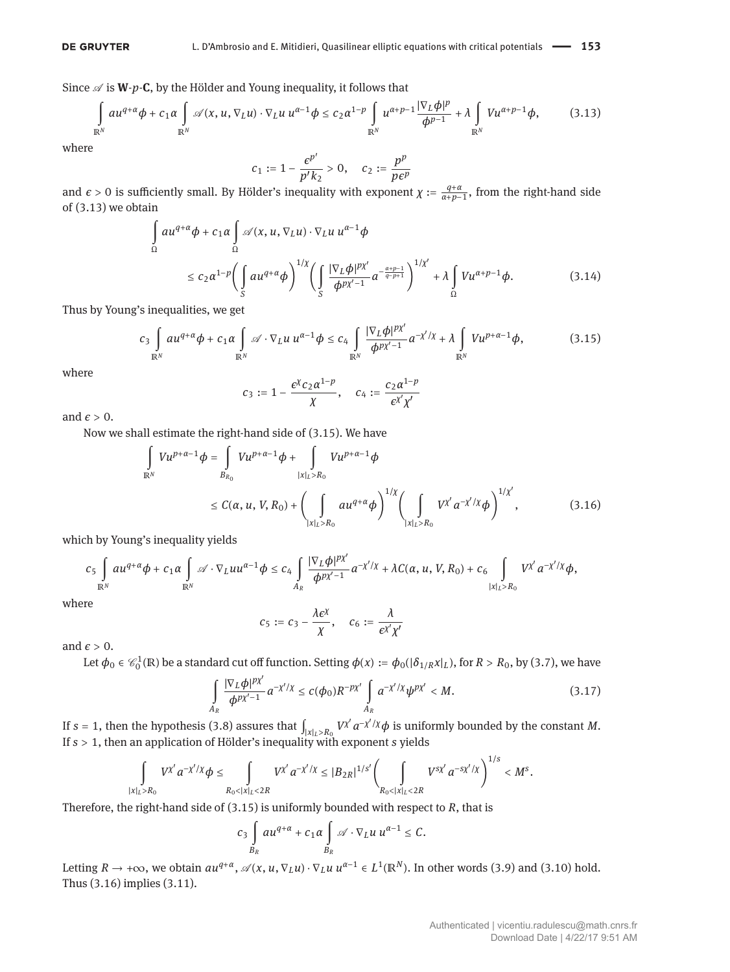Since  $\mathscr A$  is **W**- $p$ -**C**, by the Hölder and Young inequality, it follows that

<span id="page-6-0"></span>
$$
\int_{\mathbb{R}^N} a u^{q+\alpha} \phi + c_1 \alpha \int_{\mathbb{R}^N} \mathscr{A}(x, u, \nabla_L u) \cdot \nabla_L u \, u^{\alpha-1} \phi \leq c_2 \alpha^{1-p} \int_{\mathbb{R}^N} u^{\alpha+p-1} \frac{|\nabla_L \phi|^p}{\phi^{p-1}} + \lambda \int_{\mathbb{R}^N} V u^{\alpha+p-1} \phi, \tag{3.13}
$$

where

<span id="page-6-4"></span>
$$
c_1 := 1 - \frac{\epsilon^{p'}}{p' k_2} > 0, \quad c_2 := \frac{p^p}{p \epsilon^p}
$$

and  $\epsilon > 0$  is sufficiently small. By Hölder's inequality with exponent  $\chi := \frac{q+\alpha}{\alpha+p-1}$ , from the right-hand side of [\(3.13\)](#page-6-0) we obtain

$$
\int_{\Omega} a u^{q+\alpha} \phi + c_1 \alpha \int_{\Omega} \mathscr{A}(x, u, \nabla_L u) \cdot \nabla_L u u^{\alpha-1} \phi
$$
\n
$$
\leq c_2 \alpha^{1-p} \bigg( \int_{S} a u^{q+\alpha} \phi \bigg)^{1/\chi} \bigg( \int_{S} \frac{|\nabla_L \phi|^{p\chi'}}{\phi^{p\chi'-1}} a^{-\frac{\alpha+p-1}{q-p+1}} \bigg)^{1/\chi'} + \lambda \int_{\Omega} V u^{\alpha+p-1} \phi. \tag{3.14}
$$

Thus by Young's inequalities, we get

<span id="page-6-1"></span>
$$
c_3 \int_{\mathbb{R}^N} a u^{q+\alpha} \phi + c_1 \alpha \int_{\mathbb{R}^N} \mathscr{A} \cdot \nabla_L u \ u^{\alpha-1} \phi \leq c_4 \int_{\mathbb{R}^N} \frac{|\nabla_L \phi|^{p\chi'}}{\phi^{p\chi'-1}} a^{-\chi'/\chi} + \lambda \int_{\mathbb{R}^N} V u^{p+\alpha-1} \phi, \tag{3.15}
$$

where

$$
c_3:=1-\frac{\epsilon^{\chi}c_2\alpha^{1-p}}{\chi},\quad c_4:=\frac{c_2\alpha^{1-p}}{\epsilon^{\chi'}\chi'}
$$

and  $\epsilon > 0$ .

Now we shall estimate the right-hand side of [\(3.15\)](#page-6-1). We have

*A<sup>R</sup>*

$$
\int_{\mathbb{R}^{N}} V u^{p+\alpha-1} \phi = \int_{B_{R_{0}}} V u^{p+\alpha-1} \phi + \int_{|x|_{L} > R_{0}} V u^{p+\alpha-1} \phi
$$
\n
$$
\leq C(\alpha, u, V, R_{0}) + \left( \int_{|x|_{L} > R_{0}} a u^{q+\alpha} \phi \right)^{1/\chi} \left( \int_{|x|_{L} > R_{0}} V^{\chi'} a^{-\chi'/\chi} \phi \right)^{1/\chi'},
$$
\n(3.16)

which by Young's inequality yields

$$
c_5 \int_{\mathbb{R}^N} a u^{q+\alpha} \phi + c_1 \alpha \int_{\mathbb{R}^N} \mathscr{A} \cdot \nabla_L u u^{\alpha-1} \phi \leq c_4 \int_{A_R} \frac{|\nabla_L \phi|^{p\chi'}}{\phi^{p\chi'-1}} a^{-\chi'/\chi} + \lambda C(\alpha, u, V, R_0) + c_6 \int_{|\chi|_L > R_0} V^{\chi'} a^{-\chi'/\chi} \phi,
$$
  
where

$$
f_{\rm{max}}
$$

<span id="page-6-2"></span> $c_5 := c_3 - \frac{\lambda e^{\chi}}{v}$  $\frac{\partial}{\partial X}$ ,  $c_6 := \frac{\lambda}{\partial X'}$ *ϵ χ χ*

and  $\epsilon > 0$ .

Let  $\phi_0 \in \mathcal{C}_0^1(\mathbb{R})$  be a standard cut off function. Setting  $\phi(x) := \phi_0(|\delta_{1/R}x|_L)$ , for  $R > R_0$ , by [\(3.7\)](#page-5-0), we have

<span id="page-6-3"></span>
$$
\int_{A_R} \frac{|\nabla_L \phi|^{p\chi'}}{\phi^{p\chi'-1}} a^{-\chi'/\chi} \le c(\phi_0) R^{-p\chi'} \int_{A_R} a^{-\chi'/\chi} \psi^{p\chi'} < M.
$$
\n(3.17)

If  $s = 1$ , then the hypothesis [\(3.8\)](#page-5-1) assures that  $\int_{|x|_L > R_0} V^{\chi'} a^{-\chi'/\chi} \phi$  is uniformly bounded by the constant *M*. If *s* > 1, then an application of Hölder's inequality with exponent *s* yields

$$
\int_{|x|_L>R_0} V^{\chi'} a^{-\chi'/\chi} \phi \leq \int_{R_0 < |x|_L < 2R} V^{\chi'} a^{-\chi'/\chi} \leq |B_{2R}|^{1/s'} \left( \int_{R_0 < |x|_L < 2R} V^{s\chi'} a^{-s\chi'/\chi} \right)^{1/s} < M^s.
$$

Therefore, the right-hand side of [\(3.15\)](#page-6-1) is uniformly bounded with respect to *R*, that is

$$
c_3 \int\limits_{B_R} a u^{q+\alpha} + c_1 \alpha \int\limits_{B_R} \mathscr{A} \cdot \nabla_L u \ u^{\alpha-1} \leq C.
$$

Letting  $R \to +\infty$ , we obtain  $au^{q+\alpha}$ ,  $\mathcal{A}(x, u, \nabla_L u) \cdot \nabla_L u u^{\alpha-1} \in L^1(\mathbb{R}^N)$ . In other words [\(3.9\)](#page-5-3) and [\(3.10\)](#page-5-4) hold. Thus [\(3.16\)](#page-6-2) implies [\(3.11\)](#page-5-5).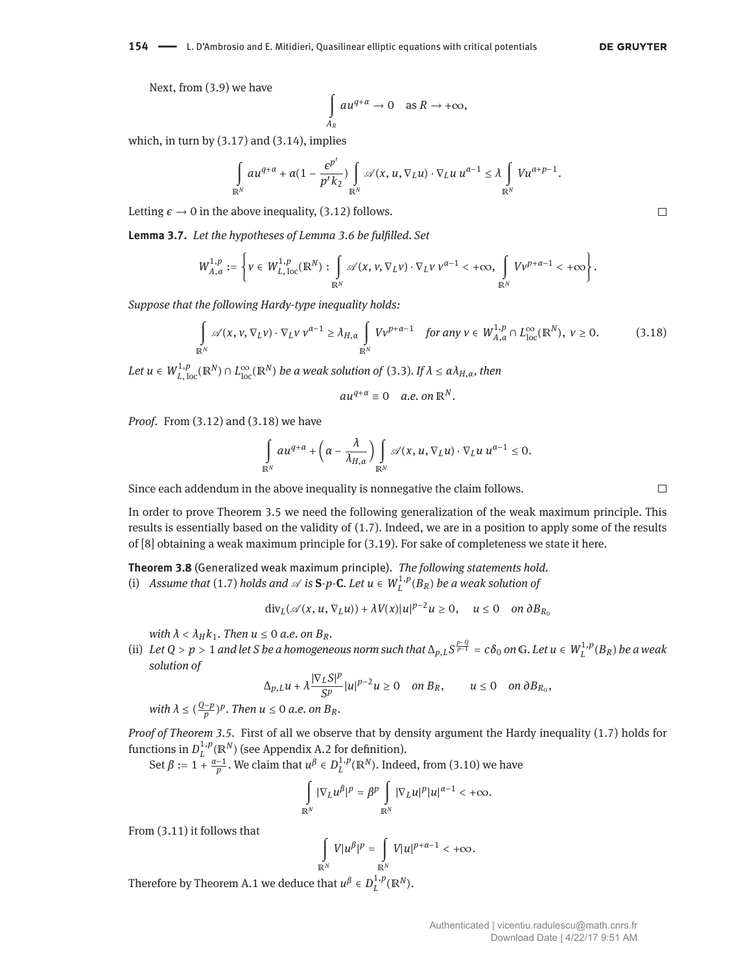**DE GRUYTER** 

Next, from [\(3.9\)](#page-5-3) we have

$$
\int_{A_R} au^{q+\alpha} \to 0 \quad \text{as } R \to +\infty,
$$

which, in turn by  $(3.17)$  and  $(3.14)$ , implies

$$
\int_{\mathbb{R}^N} a u^{q+\alpha} + \alpha (1-\frac{\epsilon^{p'}}{p' k_2}) \int_{\mathbb{R}^N} \mathscr{A}(x, u, \nabla_L u) \cdot \nabla_L u \, u^{\alpha-1} \leq \lambda \int_{\mathbb{R}^N} V u^{\alpha+p-1}.
$$

Letting  $\epsilon \to 0$  in the above inequality, [\(3.12\)](#page-5-6) follows.

<span id="page-7-1"></span>**Lemma 3.7.** *Let the hypotheses of Lemma [3.6](#page-5-7) be fulfilled. Set*

$$
W_{A,\alpha}^{1,p}:=\left\{\nu\in W_{L,\,\textrm{loc}}^{1,p}(\mathbb{R}^N):\int\limits_{\mathbb{R}^N}\mathscr{A}(x,\nu,\nabla_L\nu)\cdot\nabla_L\nu\,v^{\alpha-1}<+\infty,\,\,\int\limits_{\mathbb{R}^N}V\nu^{p+\alpha-1}<+\infty\right\}.
$$

*Suppose that the following Hardy-type inequality holds:*

<span id="page-7-0"></span>
$$
\int_{\mathbb{R}^N} \mathscr{A}(x, v, \nabla_L v) \cdot \nabla_L v \, v^{\alpha - 1} \ge \lambda_{H, \alpha} \int_{\mathbb{R}^N} V v^{p + \alpha - 1} \quad \text{for any } v \in W_{A, \alpha}^{1, p} \cap L_{\text{loc}}^{\infty}(\mathbb{R}^N), \ v \ge 0. \tag{3.18}
$$

 $Let\ u\in W_{L,\,\rm loc}^{1,p}(\mathbb{R}^N)\cap L_{\rm loc}^\infty(\mathbb{R}^N)$  *be a weak solution of* [\(3.3\)](#page-4-5)*. If*  $\lambda\leq \alpha\lambda_{H,\alpha}$ *, then* 

 $au^{q+\alpha} \equiv 0$  *a.e.* on  $\mathbb{R}^N$ .

*Proof.* From [\(3.12\)](#page-5-6) and [\(3.18\)](#page-7-0) we have

$$
\int_{\mathbb{R}^N} a u^{q+\alpha} + \left(\alpha - \frac{\lambda}{\lambda_{H,\alpha}}\right) \int_{\mathbb{R}^N} \mathscr{A}(x, u, \nabla_L u) \cdot \nabla_L u \ u^{\alpha-1} \leq 0.
$$

Since each addendum in the above inequality is nonnegative the claim follows.

In order to prove Theorem [3.5](#page-5-8) we need the following generalization of the weak maximum principle. This results is essentially based on the validity of [\(1.7\)](#page-1-1). Indeed, we are in a position to apply some of the results of [\[8\]](#page-17-4) obtaining a weak maximum principle for [\(3.19\)](#page-8-0). For sake of completeness we state it here.

<span id="page-7-2"></span>**Theorem 3.8** (Generalized weak maximum principle). *The following statements hold.* (i) Assume that [\(1.7\)](#page-1-1) holds and  $\mathscr A$  is  $S$ -p-C. Let  $u \in W^{1,p}_L(B_R)$  be a weak solution of

 $\text{div}_L(\mathscr{A}(x, u, \nabla_L u)) + \lambda V(x)|u|^{p-2}u \ge 0, \quad u \le 0 \quad \text{on } \partial B_{R_0}$ 

*with*  $\lambda < \lambda_H k_1$ *. Then*  $u \le 0$  *a.e.* on  $B_R$ *.* 

(ii) Let  $Q > p > 1$  and let S be a homogeneous norm such that  $\Delta_{p,L} S^{\frac{p-q}{p-1}} = c \delta_0$  on G. Let  $u \in W^{1,p}_L(B_R)$  be a weak *solution of*

$$
\Delta_{p,L} u + \lambda \frac{|\nabla_L S|^p}{S^p} |u|^{p-2} u \ge 0 \quad on \, B_R, \qquad u \le 0 \quad on \, \partial B_{R_0},
$$

with  $\lambda \leq (\frac{Q-p}{p})^p$ . Then  $u \leq 0$  a.e. on  $B_R$ .

*Proof of Theorem [3.5.](#page-5-8)* First of all we observe that by density argument the Hardy inequality [\(1.7\)](#page-1-1) holds for functions in  $D^{1,p}_L(\mathbb{R}^N)$  (see Appendix [A.2](#page-14-0) for definition).

Set  $\beta := 1 + \frac{\alpha-1}{p}$ . We claim that  $u^{\beta} \in D_L^{1,p}(\mathbb{R}^N)$ . Indeed, from [\(3.10\)](#page-5-4) we have

$$
\int_{\mathbb{R}^N} |\nabla_L u^{\beta}|^p = \beta^p \int_{\mathbb{R}^N} |\nabla_L u|^p |u|^{\alpha-1} < +\infty.
$$

From [\(3.11\)](#page-5-5) it follows that

$$
\int_{\mathbb{R}^N} V|u^{\beta}|^p = \int_{\mathbb{R}^N} V|u|^{p+\alpha-1} < +\infty.
$$

Therefore by Theorem [A.1](#page-15-0) we deduce that  $u^{\beta} \in D^{1,p}_L(\mathbb{R}^N)$ .

 $\Box$ 

 $\Box$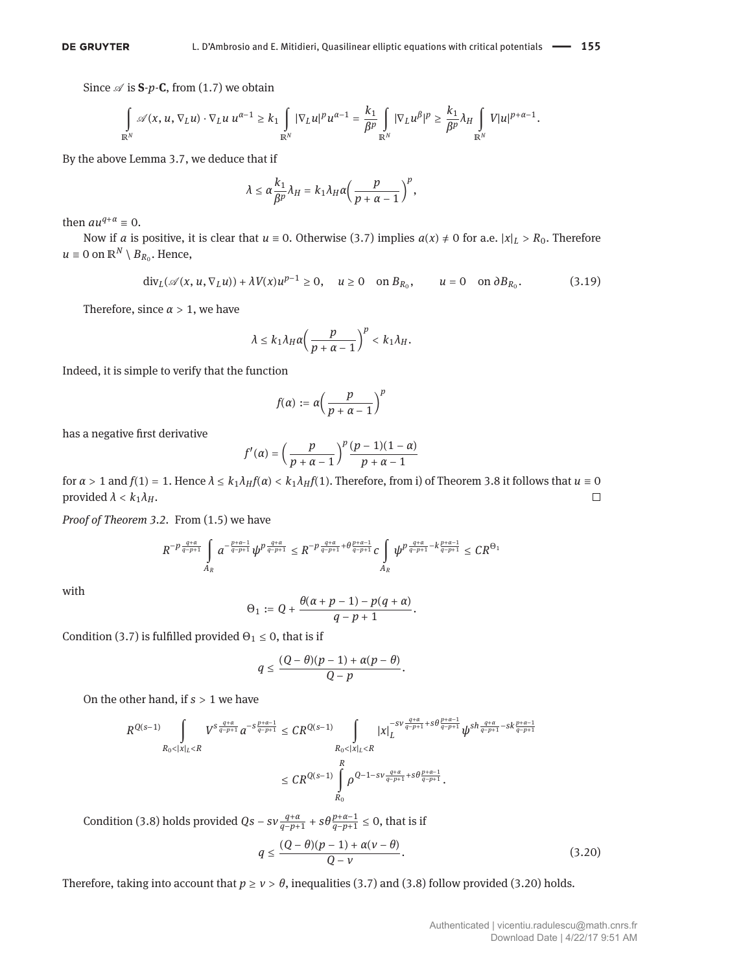Since  $\mathscr A$  is **S**- $p$ -**C**, from [\(1.7\)](#page-1-1) we obtain

$$
\int\limits_{\mathbb{R}^N} \mathscr{A}(x,u,\nabla_L u)\cdot \nabla_L u\;u^{\alpha-1} \geq k_1\int\limits_{\mathbb{R}^N}|\nabla_L u|^p u^{\alpha-1} = \frac{k_1}{\beta^p}\int\limits_{\mathbb{R}^N}|\nabla_L u^\beta|^p \geq \frac{k_1}{\beta^p}\lambda_H\int\limits_{\mathbb{R}^N}V|u|^{p+\alpha-1}.
$$

By the above Lemma [3.7,](#page-7-1) we deduce that if

$$
\lambda \leq \alpha \frac{k_1}{\beta^p} \lambda_H = k_1 \lambda_H \alpha \left( \frac{p}{p+\alpha-1} \right)^p,
$$

then  $au^{q+\alpha} \equiv 0$ .

Now if *a* is positive, it is clear that  $u \equiv 0$ . Otherwise [\(3.7\)](#page-5-0) implies  $a(x) \neq 0$  for a.e.  $|x|_L > R_0$ . Therefore  $u \equiv 0$  on  $\mathbb{R}^N \setminus B_{R_0}$ . Hence,

<span id="page-8-0"></span>
$$
\mathrm{div}_L(\mathscr{A}(x, u, \nabla_L u)) + \lambda V(x)u^{p-1} \ge 0, \quad u \ge 0 \quad \text{on } B_{R_0}, \qquad u = 0 \quad \text{on } \partial B_{R_0}. \tag{3.19}
$$

Therefore, since  $\alpha > 1$ , we have

$$
\lambda \leq k_1 \lambda_H \alpha \left( \frac{p}{p+\alpha-1} \right)^p < k_1 \lambda_H.
$$

Indeed, it is simple to verify that the function

$$
f(\alpha):=\alpha\bigg(\frac{p}{p+\alpha-1}\bigg)^p
$$

has a negative first derivative

$$
f'(\alpha) = \left(\frac{p}{p+\alpha-1}\right)^p \frac{(p-1)(1-\alpha)}{p+\alpha-1}
$$

for  $\alpha > 1$  and  $f(1) = 1$ . Hence  $\lambda \le k_1 \lambda_H f(\alpha) < k_1 \lambda_H f(1)$ . Therefore, from i) of Theorem [3.8](#page-7-2) it follows that  $u \equiv 0$  provided  $\lambda < k_1 \lambda_H$ . provided  $\lambda < k_1 \lambda_H$ .

*Proof of Theorem [3.2.](#page-4-6)* From [\(1.5\)](#page-1-2) we have

$$
R^{-p\frac{q+\alpha}{q-p+1}}\int\limits_{A_R}a^{-\frac{p+\alpha-1}{q-p+1}}\psi^{p\frac{q+\alpha}{q-p+1}}\leq R^{-p\frac{q+\alpha}{q-p+1}+\theta\frac{p+\alpha-1}{q-p+1}}c\int\limits_{A_R}\psi^{p\frac{q+\alpha}{q-p+1}-k\frac{p+\alpha-1}{q-p+1}}\leq CR^{\Theta_1}
$$

with

$$
\Theta_1:=Q+\frac{\theta(\alpha+p-1)-p(q+\alpha)}{q-p+1}.
$$

Condition [\(3.7\)](#page-5-0) is fulfilled provided  $\Theta_1 \leq 0$ , that is if

$$
q\leq \frac{(Q-\theta)(p-1)+\alpha(p-\theta)}{Q-p}.
$$

On the other hand, if *s* > 1 we have

$$
\begin{aligned} R^{Q(s-1)} \int\limits_{R_0<|x|_L
$$

<span id="page-8-1"></span>Condition [\(3.8\)](#page-5-1) holds provided  $Qs - sv \frac{q+\alpha}{q-p+1} + s\theta \frac{p+\alpha-1}{q-p+1} \le 0$ , that is if  $q \leq \frac{(Q-\theta)(p-1)+\alpha(\nu-\theta)}{Q-\nu}$ *Q* − *ν*

Therefore, taking into account that  $p \ge v > \theta$ , inequalities [\(3.7\)](#page-5-0) and [\(3.8\)](#page-5-1) follow provided [\(3.20\)](#page-8-1) holds.

 $(3.20)$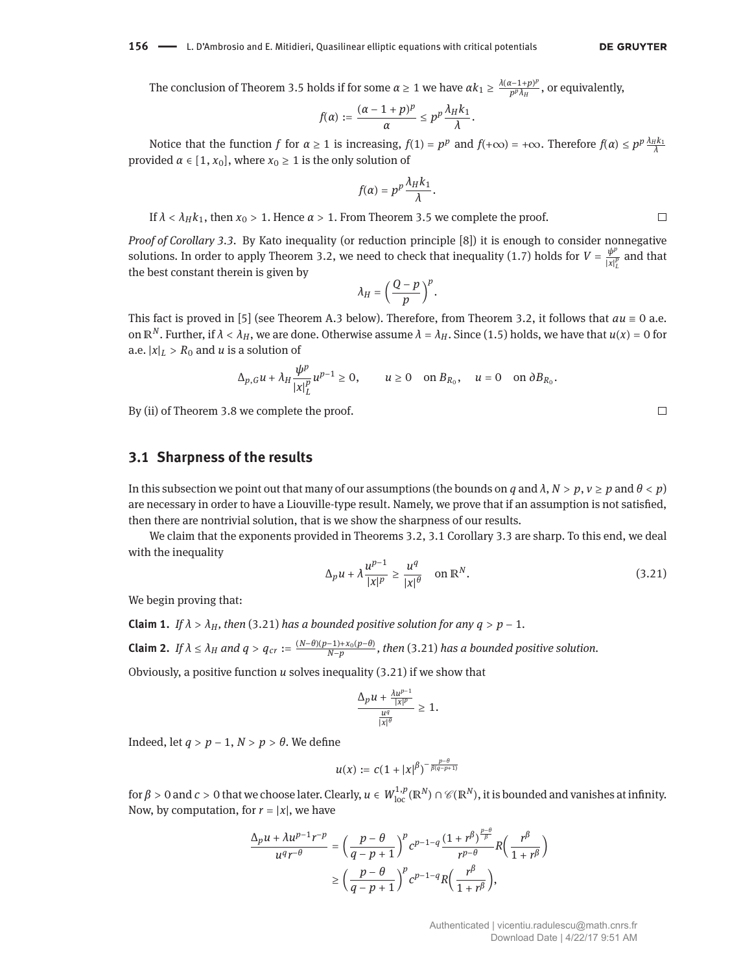The conclusion of Theorem [3.5](#page-5-8) holds if for some  $\alpha \ge 1$  we have  $\alpha k_1 \ge \frac{\lambda(\alpha-1+p)^p}{p^p \lambda_H}$  $\frac{P^{(n)}(P^{(n)})}{P^{(n)}(H^n)}$ , or equivalently,

$$
f(\alpha):=\frac{(\alpha-1+p)^p}{\alpha}\leq p^p\frac{\lambda_H k_1}{\lambda}.
$$

Notice that the function *f* for  $\alpha \ge 1$  is increasing,  $f(1) = p^p$  and  $f(+\infty) = +\infty$ . Therefore  $f(\alpha) \le p^p \frac{\lambda_H k_1}{\lambda}$ provided  $\alpha \in [1, x_0]$ , where  $x_0 \ge 1$  is the only solution of

$$
f(\alpha)=p^p\frac{\lambda_Hk_1}{\lambda}.
$$

If  $λ < λ_Hk_1$ , then  $x_0 > 1$ . Hence  $α > 1$ . From Theorem [3.5](#page-5-8) we complete the proof.

*Proof of Corollary [3.3.](#page-4-7)* By Kato inequality (or reduction principle [\[8\]](#page-17-4)) it is enough to consider nonnegative solutions. In order to apply Theorem [3.2,](#page-4-6) we need to check that inequality [\(1.7\)](#page-1-1) holds for  $V = \frac{\psi^2}{|x|^2}$  $\frac{\varphi}{|x|_L^p}$  and that the best constant therein is given by

$$
\lambda_H = \left(\frac{Q-p}{p}\right)^p.
$$

This fact is proved in [\[5\]](#page-17-12) (see Theorem [A.3](#page-16-0) below). Therefore, from Theorem [3.2,](#page-4-6) it follows that  $au \equiv 0$  a.e. on  $\mathbb{R}^N$ . Further, if  $\lambda < \lambda_H$ , we are done. Otherwise assume  $\lambda = \lambda_H$ . Since [\(1.5\)](#page-1-2) holds, we have that  $u(x) = 0$  for a.e.  $|x|_L > R_0$  and *u* is a solution of

$$
\Delta_{p,G} u + \lambda_H \frac{\psi^p}{|x|_L^p} u^{p-1} \ge 0, \qquad u \ge 0 \quad \text{on } B_{R_0}, \quad u = 0 \quad \text{on } \partial B_{R_0}.
$$

By (ii) of Theorem [3.8](#page-7-2) we complete the proof.

#### **3.1 Sharpness of the results**

In this subsection we point out that many of our assumptions (the bounds on *q* and  $\lambda$ ,  $N > p$ ,  $\nu \ge p$  and  $\theta < p$ ) are necessary in order to have a Liouville-type result. Namely, we prove that if an assumption is not satisfied, then there are nontrivial solution, that is we show the sharpness of our results.

We claim that the exponents provided in Theorems [3.2,](#page-4-6) [3.1](#page-3-3) Corollary [3.3](#page-4-7) are sharp. To this end, we deal with the inequality

<span id="page-9-0"></span>
$$
\Delta_p u + \lambda \frac{u^{p-1}}{|x|^p} \ge \frac{u^q}{|x|^{\theta}} \quad \text{on } \mathbb{R}^N. \tag{3.21}
$$

We begin proving that:

<span id="page-9-2"></span><span id="page-9-1"></span>**Claim 1.** *If*  $\lambda > \lambda_H$ , then [\(3.21\)](#page-9-0) has a bounded positive solution for any  $q > p - 1$ . **Claim 2.** If  $\lambda \le \lambda_H$  and  $q > q_{cr} := \frac{(N-\theta)(p-1)+x_0(p-\theta)}{N-p}$ , then [\(3.21\)](#page-9-0) has a bounded positive solution.

Obviously, a positive function *u* solves inequality [\(3.21\)](#page-9-0) if we show that

$$
\frac{\Delta_p u + \frac{\lambda u^{p-1}}{|x|^p}}{\frac{u^q}{|x|^{\theta}}} \geq 1.
$$

Indeed, let  $q > p - 1$ ,  $N > p > \theta$ . We define

$$
u(x):=c(1+|x|^\beta)^{-\frac{p-\theta}{\beta(q-p+1)}}
$$

for  $\beta > 0$  and  $c > 0$  that we choose later. Clearly,  $u \in W^{1,p}_{loc}(\mathbb{R}^N) \cap \mathcal{C}(\mathbb{R}^N)$ , it is bounded and vanishes at infinity. Now, by computation, for  $r = |x|$ , we have

$$
\frac{\Delta_p u + \lambda u^{p-1} r^{-p}}{u^q r^{-\theta}} = \left(\frac{p-\theta}{q-p+1}\right)^p c^{p-1-q} \frac{(1+r^\beta)^{\frac{p-\theta}{\beta}}}{r^{p-\theta}} R\left(\frac{r^\beta}{1+r^\beta}\right)
$$

$$
\ge \left(\frac{p-\theta}{q-p+1}\right)^p c^{p-1-q} R\left(\frac{r^\beta}{1+r^\beta}\right),
$$

 $\Box$ 

 $\Box$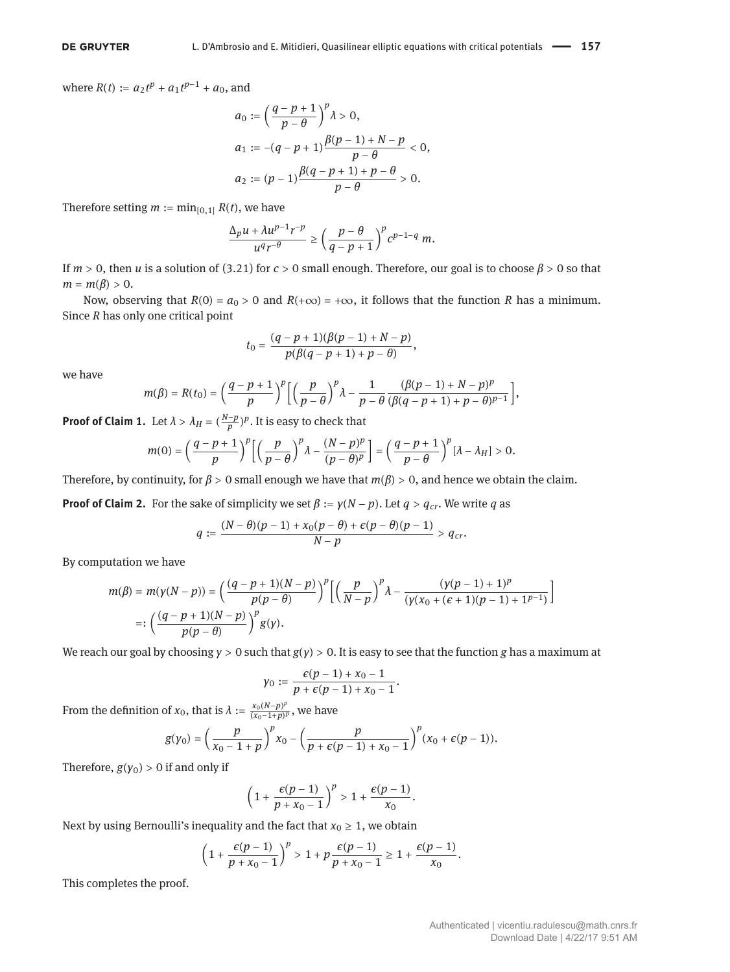where  $R(t) := a_2 t^p + a_1 t^{p-1} + a_0$ , and

$$
a_0 := \left(\frac{q-p+1}{p-\theta}\right)^p \lambda > 0,
$$
  
\n
$$
a_1 := -(q-p+1)\frac{\beta(p-1)+N-p}{p-\theta} < 0,
$$
  
\n
$$
a_2 := (p-1)\frac{\beta(q-p+1)+p-\theta}{p-\theta} > 0.
$$

Therefore setting  $m := min_{[0,1]} R(t)$ , we have

$$
\frac{\Delta_p u + \lambda u^{p-1}r^{-p}}{u^qr^{-\theta}} \geq \left(\frac{p-\theta}{q-p+1}\right)^p c^{p-1-q} \ m.
$$

If  $m > 0$ , then *u* is a solution of [\(3.21\)](#page-9-0) for  $c > 0$  small enough. Therefore, our goal is to choose  $\beta > 0$  so that  $m = m(\beta) > 0.$ 

Now, observing that  $R(0) = a_0 > 0$  and  $R(+\infty) = +\infty$ , it follows that the function *R* has a minimum. Since *R* has only one critical point

$$
t_0 = \frac{(q-p+1)(\beta(p-1)+N-p)}{p(\beta(q-p+1)+p-\theta)},
$$

we have

$$
m(\beta)=R(t_0)=\left(\frac{q-p+1}{p}\right)^p\left[\left(\frac{p}{p-\theta}\right)^p\lambda-\frac{1}{p-\theta}\frac{(\beta(p-1)+N-p)^p}{(\beta(q-p+1)+p-\theta)^{p-1}}\right],
$$

**Proof of Claim [1.](#page-9-1)** Let  $\lambda > \lambda_H = (\frac{N-p}{p})^p$ . It is easy to check that

$$
m(0) = \left(\frac{q-p+1}{p}\right)^p \left[\left(\frac{p}{p-\theta}\right)^p \lambda - \frac{(N-p)^p}{(p-\theta)^p}\right] = \left(\frac{q-p+1}{p-\theta}\right)^p [\lambda - \lambda_H] > 0.
$$

Therefore, by continuity, for  $\beta > 0$  small enough we have that  $m(\beta) > 0$ , and hence we obtain the claim.

**Proof of Claim [2.](#page-9-2)** For the sake of simplicity we set  $\beta := y(N - p)$ . Let  $q > q_{cr}$ . We write *q* as

$$
q:=\frac{(N-\theta)(p-1)+x_0(p-\theta)+\epsilon(p-\theta)(p-1)}{N-p}>q_{cr}.
$$

By computation we have

$$
m(\beta) = m(\gamma(N-p)) = \left(\frac{(q-p+1)(N-p)}{p(p-\theta)}\right)^p \left[\left(\frac{p}{N-p}\right)^p \lambda - \frac{(\gamma(p-1)+1)^p}{(\gamma(\chi_0 + (\epsilon+1)(p-1)+1)^{p-1})}\right]
$$
  
=: 
$$
\left(\frac{(q-p+1)(N-p)}{p(p-\theta)}\right)^p g(\gamma).
$$

We reach our goal by choosing *γ* > 0 such that *g*(*γ*) > 0. It is easy to see that the function *g* has a maximum at

$$
\gamma_0:=\frac{\epsilon(p-1)+x_0-1}{p+\epsilon(p-1)+x_0-1}.
$$

From the definition of *x*<sub>0</sub>, that is  $\lambda := \frac{x_0(N-p)^p}{(x_0-1+p)^p}$  $\frac{x_0(x-p)^p}{(x_0-1+p)^p}$ , we have

$$
g(\gamma_0)=\left(\frac{p}{x_0-1+p}\right)^p x_0-\left(\frac{p}{p+\epsilon(p-1)+x_0-1}\right)^p (x_0+\epsilon(p-1)).
$$

Therefore,  $g(y_0) > 0$  if and only if

$$
\left(1+\frac{\epsilon(p-1)}{p+x_0-1}\right)^p>1+\frac{\epsilon(p-1)}{x_0}.
$$

Next by using Bernoulli's inequality and the fact that  $x_0 \geq 1$ , we obtain

$$
\left(1+\frac{\epsilon(p-1)}{p+x_0-1}\right)^p>1+p\frac{\epsilon(p-1)}{p+x_0-1}\geq 1+\frac{\epsilon(p-1)}{x_0}.
$$

This completes the proof.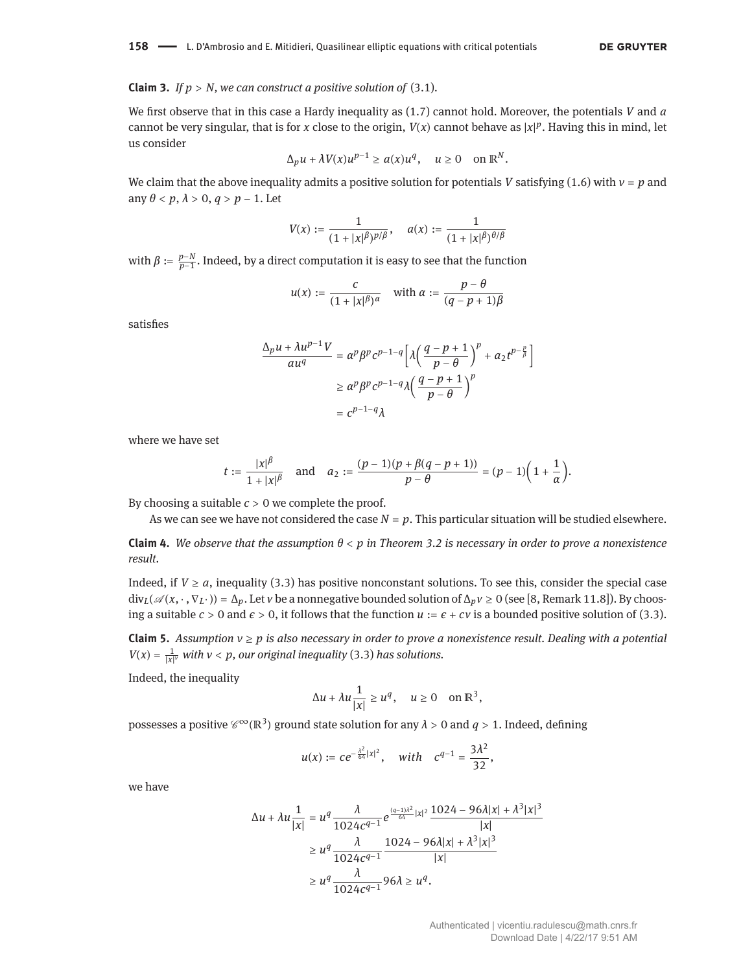#### **Claim 3.** *If*  $p > N$ *, we can construct a positive solution of [\(3.1\)](#page-3-4).*

We first observe that in this case a Hardy inequality as [\(1.7\)](#page-1-1) cannot hold. Moreover, the potentials *V* and *a* cannot be very singular, that is for *x* close to the origin,  $V(x)$  cannot behave as  $|x|^p$ . Having this in mind, let us consider

$$
\Delta_p u + \lambda V(x)u^{p-1} \ge a(x)u^q, \quad u \ge 0 \quad \text{on } \mathbb{R}^N.
$$

We claim that the above inequality admits a positive solution for potentials *V* satisfying [\(1.6\)](#page-1-3) with *ν* = *p* and any  $\theta$  < *p*,  $\lambda$  > 0,  $q$  > *p* – 1. Let

$$
V(x):=\frac{1}{(1+|x|^\beta)^{p/\beta}},\quad \, a(x):=\frac{1}{(1+|x|^\beta)^{\theta/\beta}}
$$

with  $\beta := \frac{p-N}{p-1}$ . Indeed, by a direct computation it is easy to see that the function

$$
u(x):=\frac{c}{(1+|x|^\beta)^\alpha}\quad\text{with }\alpha:=\frac{p-\theta}{(q-p+1)\beta}
$$

satisfies

$$
\frac{\Delta_p u + \lambda u^{p-1} V}{au^q} = \alpha^p \beta^p c^{p-1-q} \left[ \lambda \left( \frac{q-p+1}{p-\theta} \right)^p + a_2 t^{p-\frac{p}{\beta}} \right]
$$

$$
\geq \alpha^p \beta^p c^{p-1-q} \lambda \left( \frac{q-p+1}{p-\theta} \right)^p
$$

$$
= c^{p-1-q} \lambda
$$

where we have set

$$
t := \frac{|x|^{\beta}}{1+|x|^{\beta}}
$$
 and  $a_2 := \frac{(p-1)(p+\beta(q-p+1))}{p-\theta} = (p-1)\left(1+\frac{1}{\alpha}\right).$ 

By choosing a suitable  $c > 0$  we complete the proof.

As we can see we have not considered the case  $N = p$ . This particular situation will be studied elsewhere.

**Claim 4.** *We observe that the assumption θ* < *p in Theorem [3.2](#page-4-6) is necessary in order to prove a nonexistence result.*

Indeed, if  $V \ge a$ , inequality [\(3.3\)](#page-4-5) has positive nonconstant solutions. To see this, consider the special case  $div_L(\mathscr{A}(x, \cdot, \nabla_L \cdot)) = \Delta_p$ . Let *v* be a nonnegative bounded solution of  $\Delta_p v \ge 0$  (see [\[8,](#page-17-4) Remark 11.8]). By choosing a suitable  $c > 0$  and  $\epsilon > 0$ , it follows that the function  $u := \epsilon + cv$  is a bounded positive solution of [\(3.3\)](#page-4-5).

**Claim 5.** *Assumption ν* ≥ *p is also necessary in order to prove a nonexistence result. Dealing with a potential*  $V(x) = \frac{1}{|x|^{\nu}}$  *with*  $\nu < p$ , our original inequality [\(3.3\)](#page-4-5) has solutions.

Indeed, the inequality

$$
\Delta u + \lambda u \frac{1}{|x|} \ge u^q, \quad u \ge 0 \quad \text{on } \mathbb{R}^3,
$$

possesses a positive  $\mathscr{C}^{\infty}(\mathbb{R}^3)$  ground state solution for any  $\lambda > 0$  and  $q > 1$ . Indeed, defining

$$
u(x) := ce^{-\frac{\lambda^2}{64}|x|^2}
$$
, with  $c^{q-1} = \frac{3\lambda^2}{32}$ ,

we have

$$
\Delta u + \lambda u \frac{1}{|x|} = u^q \frac{\lambda}{1024c^{q-1}} e^{\frac{(q-1)\lambda^2}{64}|x|^2} \frac{1024 - 96\lambda |x| + \lambda^3 |x|^3}{|x|}
$$
  
\n
$$
\geq u^q \frac{\lambda}{1024c^{q-1}} \frac{1024 - 96\lambda |x| + \lambda^3 |x|^3}{|x|}
$$
  
\n
$$
\geq u^q \frac{\lambda}{1024c^{q-1}} 96\lambda \geq u^q.
$$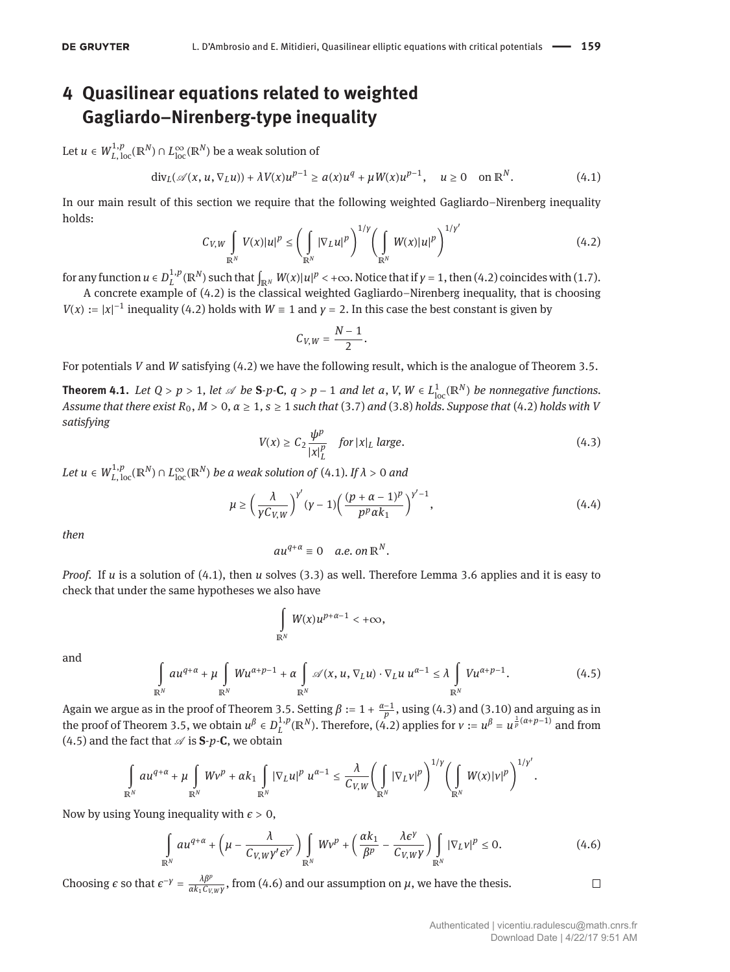# <span id="page-12-0"></span>**4 Quasilinear equations related to weighted Gagliardo–Nirenberg-type inequality**

Let  $u \in W^{1,p}_{L,\,{\rm loc}}(\mathbb{R}^N) \cap L^\infty_{\rm loc}(\mathbb{R}^N)$  be a weak solution of

<span id="page-12-2"></span>
$$
\operatorname{div}_{L}(\mathscr{A}(x, u, \nabla_{L}u)) + \lambda V(x)u^{p-1} \ge a(x)u^{q} + \mu W(x)u^{p-1}, \quad u \ge 0 \quad \text{on } \mathbb{R}^{N}.
$$
 (4.1)

In our main result of this section we require that the following weighted Gagliardo–Nirenberg inequality holds:

<span id="page-12-1"></span>
$$
C_{V,W} \int\limits_{\mathbb{R}^N} V(x)|u|^p \leq \left(\int\limits_{\mathbb{R}^N} |\nabla_L u|^p\right)^{1/\gamma} \left(\int\limits_{\mathbb{R}^N} W(x)|u|^p\right)^{1/\gamma'}\tag{4.2}
$$

for any function  $u \in D^{1,p}_L(\mathbb{R}^N)$  such that  $\int_{\mathbb{R}^N} W(x)|u|^p < +\infty$ . Notice that if  $\gamma = 1$ , then [\(4.2\)](#page-12-1) coincides with [\(1.7\)](#page-1-1).

A concrete example of [\(4.2\)](#page-12-1) is the classical weighted Gagliardo–Nirenberg inequality, that is choosing *V*(*x*) :=  $|x|^{-1}$  inequality [\(4.2\)](#page-12-1) holds with *W* = 1 and *y* = 2. In this case the best constant is given by

$$
C_{V,W}=\frac{N-1}{2}.
$$

For potentials *V* and *W* satisfying [\(4.2\)](#page-12-1) we have the following result, which is the analogue of Theorem [3.5.](#page-5-8)

<span id="page-12-6"></span>**Theorem 4.1.** Let  $Q > p > 1$ , let  $\mathscr A$  be S-p-C,  $q > p - 1$  and let  $a, V, W \in L^1_{loc}(\mathbb{R}^N)$  be nonnegative functions. *Assume that there exist*  $R_0$ ,  $M > 0$ ,  $\alpha \ge 1$ ,  $s \ge 1$  *such that* [\(3.7\)](#page-5-0) *and* [\(3.8\)](#page-5-1) *holds. Suppose that* [\(4.2\)](#page-12-1) *holds with V satisfying*

<span id="page-12-3"></span>
$$
V(x) \ge C_2 \frac{\psi^p}{|x|_L^p} \quad \text{for } |x|_L \text{ large.} \tag{4.3}
$$

 $Let\ u\in W_{L,\,\rm loc}^{1,p}(\mathbb{R}^N)\cap L_{\rm loc}^\infty(\mathbb{R}^N)$  *be a weak solution of (*4.1)*. If*  $\lambda>0$  *and* 

<span id="page-12-7"></span>
$$
\mu \ge \left(\frac{\lambda}{\gamma C_{V,W}}\right)^{\gamma'}(\gamma-1)\left(\frac{(p+\alpha-1)^p}{p^p\alpha k_1}\right)^{\gamma'-1},\tag{4.4}
$$

*then*

$$
au^{q+\alpha}\equiv 0 \quad a.e. \text{ on } \mathbb{R}^N.
$$

*Proof.* If *u* is a solution of [\(4.1\)](#page-12-2), then *u* solves [\(3.3\)](#page-4-5) as well. Therefore Lemma [3.6](#page-5-7) applies and it is easy to check that under the same hypotheses we also have

$$
\int\limits_{\mathbb{R}^N} W(x)u^{p+\alpha-1} < +\infty,
$$

and

<span id="page-12-4"></span>
$$
\int_{\mathbb{R}^N} a u^{q+\alpha} + \mu \int_{\mathbb{R}^N} W u^{\alpha+p-1} + \alpha \int_{\mathbb{R}^N} \mathscr{A}(x, u, \nabla_L u) \cdot \nabla_L u \ u^{\alpha-1} \leq \lambda \int_{\mathbb{R}^N} V u^{\alpha+p-1}.
$$
\n(4.5)

Again we argue as in the proof of Theorem [3.5.](#page-5-8) Setting  $\beta := 1 + \frac{\alpha-1}{p}$ , using [\(4.3\)](#page-12-3) and [\(3.10\)](#page-5-4) and arguing as in the proof of Theorem [3.5,](#page-5-8) we obtain  $u^{\beta} \in D_L^{1,p}(\mathbb{R}^N)$ . Therefore,  $(A, 2)$  applies for  $v := u^{\beta} = u^{\frac{1}{p}(\alpha+p-1)}$  and from [\(4.5\)](#page-12-4) and the fact that  $\mathscr A$  is **S**- $p$ -**C**, we obtain

$$
\int_{\mathbb{R}^N} a u^{q+\alpha} + \mu \int_{\mathbb{R}^N} W v^p + \alpha k_1 \int_{\mathbb{R}^N} |\nabla_L u|^p u^{\alpha-1} \leq \frac{\lambda}{C_{V,W}} \left( \int_{\mathbb{R}^N} |\nabla_L v|^p \right)^{1/\gamma} \left( \int_{\mathbb{R}^N} W(x) |v|^p \right)^{1/\gamma'}.
$$

Now by using Young inequality with  $\epsilon > 0$ ,

<span id="page-12-5"></span>
$$
\int_{\mathbb{R}^N} a u^{q+\alpha} + \left(\mu - \frac{\lambda}{C_{V,W} \gamma' \epsilon^{\gamma'}}\right) \int_{\mathbb{R}^N} W \nu^p + \left(\frac{\alpha k_1}{\beta^p} - \frac{\lambda \epsilon^{\gamma}}{C_{V,W} \gamma}\right) \int_{\mathbb{R}^N} |\nabla_L \nu|^p \le 0.
$$
\n(4.6)

Choosing  $\epsilon$  so that  $\epsilon^{-\gamma} = \frac{\lambda \beta^p}{\alpha k_1 C_v}$  $\frac{\lambda P^r}{\alpha k_1 C_{V,W} \gamma}$ , from [\(4.6\)](#page-12-5) and our assumption on  $\mu$ , we have the thesis.

 $\Box$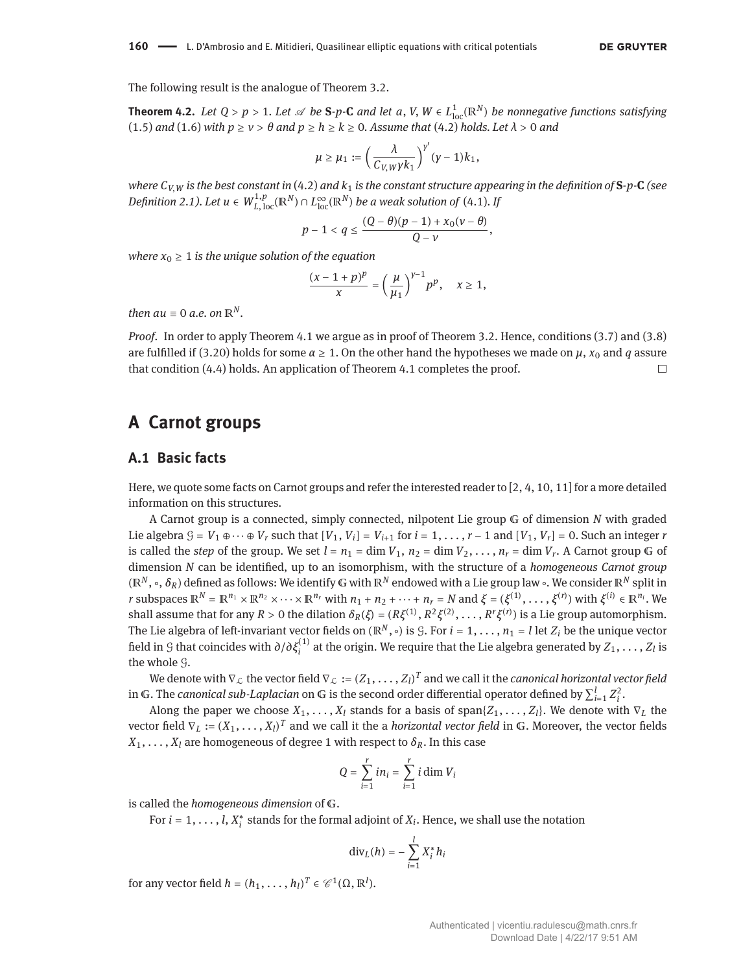**Theorem 4.2.** Let  $Q > p > 1$ . Let  $\mathscr A$  be S-p-C and let a, V,  $W \in L^1_{loc}(\mathbb R^N)$  be nonnegative functions satisfying [\(1.5\)](#page-1-2) and [\(1.6\)](#page-1-3) with  $p \ge v > \theta$  and  $p \ge h \ge k \ge 0$ . Assume that [\(4.2\)](#page-12-1) holds. Let  $\lambda > 0$  and

$$
\mu \geq \mu_1 := \left(\frac{\lambda}{C_{V,W}\gamma k_1}\right)^{\gamma'}(\gamma-1)k_1,
$$

*where*  $C_{V,W}$  *is the best constant in* [\(4.2\)](#page-12-1) *and*  $k_1$  *is the constant structure appearing in the definition of*  $S$ -*p*-**C** (see  $D$ *efinition [2.1\)](#page-2-0). Let*  $u \in W^{1,p}_{L,\,{\rm loc}}({\mathbb R}^{N}) \cap L^\infty_{\rm loc}({\mathbb R}^{N})$  *be a weak solution of [\(4.1\)](#page-12-2). If* 

$$
p-1 < q \leq \frac{(Q-\theta)(p-1) + x_0(\nu-\theta)}{Q-\nu},
$$

*where*  $x_0 \geq 1$  *is the unique solution of the equation* 

$$
\frac{(x-1+p)^p}{x}=\left(\frac{\mu}{\mu_1}\right)^{y-1}p^p,\quad x\geq 1,
$$

*then*  $au \equiv 0$  *a.e.* on  $\mathbb{R}^N$ .

*Proof.* In order to apply Theorem [4.1](#page-12-6) we argue as in proof of Theorem [3.2.](#page-4-6) Hence, conditions [\(3.7\)](#page-5-0) and [\(3.8\)](#page-5-1) are fulfilled if [\(3.20\)](#page-8-1) holds for some  $\alpha \ge 1$ . On the other hand the hypotheses we made on  $\mu$ ,  $x_0$  and  $q$  assure that condition [\(4.4\)](#page-12-7) holds. An application of Theorem [4.1](#page-12-6) completes the proof. П

## <span id="page-13-0"></span>**A Carnot groups**

#### **A.1 Basic facts**

Here, we quote some facts on Carnot groups and refer the interested reader to [\[2,](#page-17-14) [4,](#page-17-15) [10,](#page-17-16) [11\]](#page-17-17) for a more detailed information on this structures.

A Carnot group is a connected, simply connected, nilpotent Lie group G of dimension *N* with graded Lie algebra  $G = V_1 \oplus \cdots \oplus V_r$  such that  $[V_1, V_i] = V_{i+1}$  for  $i = 1, \ldots, r-1$  and  $[V_1, V_r] = 0$ . Such an integer *r* is called the *step* of the group. We set  $l = n_1 = \dim V_1$ ,  $n_2 = \dim V_2, \ldots, n_r = \dim V_r$ . A Carnot group G of dimension *N* can be identified, up to an isomorphism, with the structure of a *homogeneous Carnot group*  $(\mathbb{R}^N, \circ, \delta_R)$  defined as follows: We identify G with  $\mathbb{R}^N$  endowed with a Lie group law ∘. We consider  $\mathbb{R}^N$  split in *r* subspaces  $\mathbb{R}^N = \mathbb{R}^{n_1} \times \mathbb{R}^{n_2} \times \cdots \times \mathbb{R}^{n_r}$  with  $n_1 + n_2 + \cdots + n_r = N$  and  $\xi = (\xi^{(1)}, \ldots, \xi^{(r)})$  with  $\xi^{(i)} \in \mathbb{R}^{n_i}$ . We shall assume that for any  $R > 0$  the dilation  $\delta_R(\xi) = (R\xi^{(1)}, R^2\xi^{(2)}, \ldots, R^r\xi^{(r)})$  is a Lie group automorphism. The Lie algebra of left-invariant vector fields on ( $\mathbb{R}^N$ ,  $\circ$ ) is *G*. For  $i = 1, \ldots, n_1 = l$  let  $Z_i$  be the unique vector field in  $G$  that coincides with  $\partial/\partial\xi_i^{(1)}$  at the origin. We require that the Lie algebra generated by  $Z_1,\ldots,Z_l$  is the whole G.

We denote with  $\nabla_{\mathcal{L}}$  the vector field  $\nabla_{\mathcal{L}} := (Z_1, \ldots, Z_l)^T$  and we call it the *canonical horizontal vector field* in G. The *canonical sub-Laplacian* on G is the second order differential operator defined by  $\sum_{i=1}^l Z_i^2$ .

Along the paper we choose  $X_1, \ldots, X_l$  stands for a basis of span $\{Z_1, \ldots, Z_l\}$ . We denote with  $\nabla_L$  the vector field  $\nabla_L := (X_1, \ldots, X_l)^T$  and we call it the a *horizontal vector field* in G. Moreover, the vector fields  $X_1, \ldots, X_l$  are homogeneous of degree 1 with respect to  $\delta_R$ . In this case

$$
Q = \sum_{i=1}^{r} in_i = \sum_{i=1}^{r} i \dim V_i
$$

is called the *homogeneous dimension* of G.

For  $i = 1, \ldots, l$ ,  $X_i^*$  stands for the formal adjoint of  $X_i$ . Hence, we shall use the notation

$$
\mathrm{div}_L(h) = -\sum_{i=1}^l X_i^* h_i
$$

for any vector field  $h = (h_1, \ldots, h_l)^T \in \mathcal{C}^1(\Omega, \mathbb{R}^l)$ .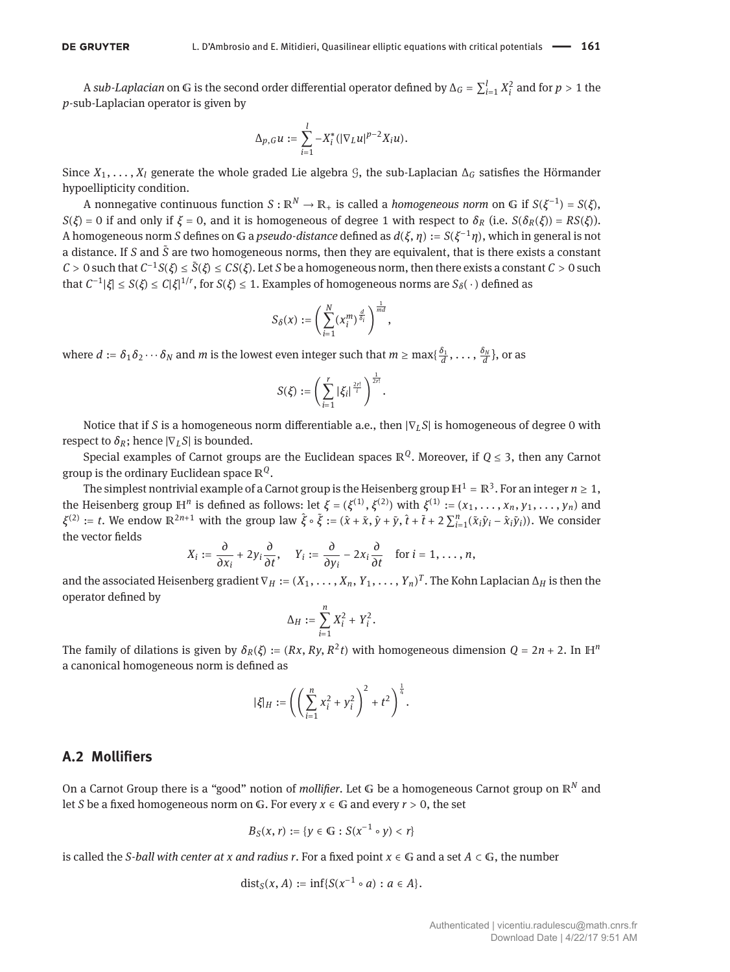A *sub-Laplacian* on G is the second order differential operator defined by  $\Delta_G = \sum_{i=1}^l X_i^2$  and for  $p > 1$  the *p*-sub-Laplacian operator is given by

$$
\Delta_{p,G} u := \sum_{i=1}^l -X_i^* (|\nabla_L u|^{p-2} X_i u).
$$

Since  $X_1, \ldots, X_l$  generate the whole graded Lie algebra  $\mathcal G$ , the sub-Laplacian  $\Delta_G$  satisfies the Hörmander hypoellipticity condition.

 $A$  nonnegative continuous function  $S: \mathbb{R}^N \to \mathbb{R}_+$  is called a *homogeneous norm* on  $G$  if  $S(\xi^{-1}) = S(\xi)$ , *S*(*ξ*) = 0 if and only if *ξ* = 0, and it is homogeneous of degree 1 with respect to  $\delta_R$  (i.e. *S*( $\delta_R(\xi)$ ) = *RS*(*ξ*)). A homogeneous norm *S* defines on 𝔾 a *pseudo-distance* defined as *d*(*ξ*, *η*) := *S*(*ξ* <sup>−</sup>1*η*), which in general is not a distance. If *S* and  $\tilde{S}$  are two homogeneous norms, then they are equivalent, that is there exists a constant  $C > 0$  such that  $C^{-1}S(\xi) \le \tilde{S}(\xi) \le CS(\xi)$ . Let *S* be a homogeneous norm, then there exists a constant  $C > 0$  such  ${\rm that}$  *C*<sup>-1</sup>|*ξ*| ≤ *S*(*ξ*) ≤ *C*|*ξ*|<sup>1/*r*</sup>, for *S*(*ξ*) ≤ 1. Examples of homogeneous norms are *S*<sub>δ</sub>(⋅)</sub> defined as

$$
S_{\delta}(x):=\left(\sum_{i=1}^N(x_i^m)^{\frac{d}{\delta_i}}\right)^{\frac{1}{md}},
$$

where  $d := \delta_1\delta_2\cdots\delta_N$  and  $m$  is the lowest even integer such that  $m\geq \max\{\frac{\delta_1}{d},\ldots,\frac{\delta_N}{d}\},$  or as

$$
S(\xi) := \left(\sum_{i=1}^r |\xi_i|^{\frac{2r!}{i}}\right)^{\frac{1}{2r!}}.
$$

Notice that if *S* is a homogeneous norm differentiable a.e., then |∇<sub>L</sub>S| is homogeneous of degree 0 with respect to  $\delta_R$ ; hence  $|\nabla_L S|$  is bounded.

Special examples of Carnot groups are the Euclidean spaces ℝ*Q*. Moreover, if *Q* ≤ 3, then any Carnot group is the ordinary Euclidean space ℝ*Q*.

The simplest nontrivial example of a Carnot group is the Heisenberg group  $\mathbb{H}^1 = \mathbb{R}^3$ . For an integer  $n \ge 1$ , the Heisenberg group  $\mathbb{H}^n$  is defined as follows: let  $\xi = (\xi^{(1)}, \xi^{(2)})$  with  $\xi^{(1)} := (x_1, \ldots, x_n, y_1, \ldots, y_n)$  and  $\xi^{(2)} := t$ . We endow  $\mathbb{R}^{2n+1}$  with the group law  $\hat{\xi} \circ \tilde{\xi} := (\hat{x} + \tilde{x}, \hat{y} + \tilde{y}, \hat{t} + \tilde{t} + 2 \sum_{i=1}^{n} (\tilde{x}_i \hat{y}_i - \hat{x}_i \tilde{y}_i))$ . We consider the vector fields

$$
X_i := \frac{\partial}{\partial x_i} + 2y_i \frac{\partial}{\partial t}, \quad Y_i := \frac{\partial}{\partial y_i} - 2x_i \frac{\partial}{\partial t} \quad \text{for } i = 1, \ldots, n,
$$

and the associated Heisenberg gradient  $\nabla_H := (X_1, \ldots, X_n, Y_1, \ldots, Y_n)^T$ . The Kohn Laplacian  $\Delta_H$  is then the operator defined by

$$
\Delta_H := \sum_{i=1}^n X_i^2 + Y_i^2.
$$

The family of dilations is given by  $\delta_R(\xi) := (Rx, Ry, R^2t)$  with homogeneous dimension  $Q = 2n + 2$ . In H<sup>n</sup> a canonical homogeneous norm is defined as

$$
|\xi|_H := \left( \left( \sum_{i=1}^n x_i^2 + y_i^2 \right)^2 + t^2 \right)^{\frac{1}{4}}.
$$

#### <span id="page-14-0"></span>**A.2 Mollifiers**

On a Carnot Group there is a "good" notion of *mollifier*. Let *G* be a homogeneous Carnot group on ℝ<sup>*N*</sup> and let *S* be a fixed homogeneous norm on *G*. For every  $x \in G$  and every  $r > 0$ , the set

$$
B_S(x, r) := \{ y \in \mathbb{G} : S(x^{-1} \circ y) < r \}
$$

is called the *S-ball with center at x and radius r*. For a fixed point  $x \in \mathbb{G}$  and a set  $A \subset \mathbb{G}$ , the number

$$
dist_S(x, A) := \inf \{ S(x^{-1} \circ a) : a \in A \}.
$$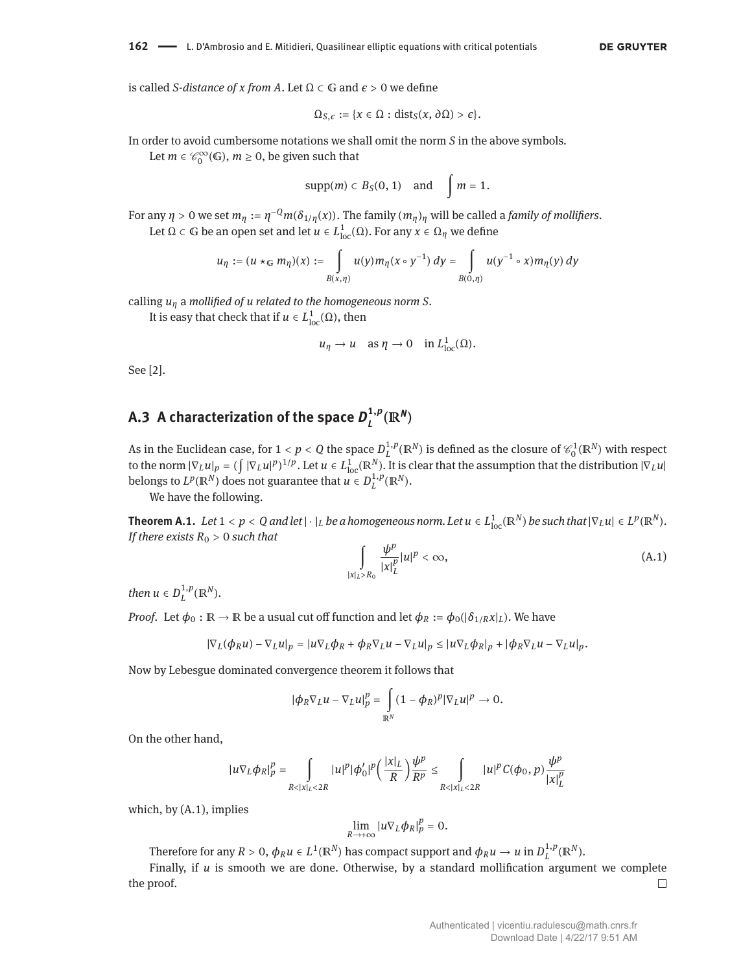is called *S*-*distance of x from A*. Let Ω ⊂ *G* and  $\epsilon$  > 0 we define

$$
\Omega_{S,\epsilon} := \{x \in \Omega : \text{dist}_S(x, \partial \Omega) > \epsilon\}.
$$

In order to avoid cumbersome notations we shall omit the norm *S* in the above symbols.

Let  $m \in \mathcal{C}_0^{\infty}(\mathbb{G})$ ,  $m \ge 0$ , be given such that

$$
\mathrm{supp}(m) \subset B_S(0,1) \quad \text{and} \quad \int m = 1.
$$

For any  $\eta > 0$  we set  $m_\eta := \eta^{-Q} m(\delta_{1/\eta}(x))$ . The family  $(m_\eta)_\eta$  will be called a *family of mollifiers*. Let  $Ω$  ⊂ G be an open set and let  $u \in L^1_{loc}(Ω)$ . For any  $x \in Ω_η$  we define

$$
u_{\eta} := (u \star_{\mathbb{G}} m_{\eta})(x) := \int u(y) m_{\eta}(x \circ y^{-1}) dy = \int u(y^{-1} \circ x) m_{\eta}(y) dy
$$

$$
B(x,\eta) \qquad B(0,\eta)
$$

calling *u<sup>η</sup>* a *mollified of u related to the homogeneous norm S*.

It is easy that check that if  $u \in L^1_{loc}(\Omega)$ , then

$$
u_{\eta} \to u \quad \text{as } \eta \to 0 \quad \text{in } L^1_{\text{loc}}(\Omega).
$$

See [\[2\]](#page-17-14).

#### A.3  $\,$  A characterization of the space  $\boldsymbol{D}_l^{1,p}$  $\frac{1}{L}$ <sup>*P*</sup>( $\mathbb{R}^N$ )

As in the Euclidean case, for  $1 < p < Q$  the space  $D^{1,p}_L(\mathbb{R}^N)$  is defined as the closure of  $\mathscr{C}_0^1(\mathbb{R}^N)$  with respect to the norm  $|\nabla_L u|_p = (\int |\nabla_L u|^p)^{1/p}$ . Let  $u \in L^1_{loc}(\mathbb{R}^N)$ . It is clear that the assumption that the distribution  $|\nabla_L u|$ belongs to  $L^p(\mathbb{R}^N)$  does not guarantee that  $u \in D^{1,p}_L(\mathbb{R}^N)$ .

We have the following.

<span id="page-15-0"></span>**Theorem A.1.** Let  $1 < p < Q$  and let  $|\cdot|_L$  be a homogeneous norm. Let  $u \in L^1_{\rm loc}({\mathbb R}^N)$  be such that  $|\nabla_L u| \in L^p({\mathbb R}^N).$ *If there exists*  $R_0 > 0$  *such that* 

<span id="page-15-1"></span>
$$
\int\limits_{|x|_L>R_0}\frac{\psi^p}{|x|_L^p}|u|^p<\infty,
$$
\n(A.1)

*then*  $u \in D^{1,p}_L(\mathbb{R}^N)$ .

*Proof.* Let  $\phi_0 : \mathbb{R} \to \mathbb{R}$  be a usual cut off function and let  $\phi_R := \phi_0(|\delta_{1/R} x|_L)$ . We have

$$
|\nabla_L(\phi_R u) - \nabla_L u|_p = |u \nabla_L \phi_R + \phi_R \nabla_L u - \nabla_L u|_p \leq |u \nabla_L \phi_R|_p + |\phi_R \nabla_L u - \nabla_L u|_p.
$$

Now by Lebesgue dominated convergence theorem it follows that

$$
|\phi_R \nabla_L u - \nabla_L u|_p^p = \int_{\mathbb{R}^N} (1 - \phi_R)^p |\nabla_L u|^p \to 0.
$$

On the other hand,

$$
|u\nabla_L \phi_R|_p^p = \int_{R<|x|_L<2R} |u|^p |\phi'_0|^p \left(\frac{|x|_L}{R}\right) \frac{\psi^p}{R^p} \le \int_{R<|x|_L<2R} |u|^p C(\phi_0, p) \frac{\psi^p}{|x|_L^p}
$$

which, by [\(A.1\)](#page-15-1), implies

$$
\lim_{R\to+\infty}|u\nabla_L\phi_R|_p^p=0.
$$

Therefore for any  $R > 0$ ,  $\phi_R u \in L^1(\mathbb{R}^N)$  has compact support and  $\phi_R u \to u$  in  $D^{1,p}_L(\mathbb{R}^N)$ .

Finally, if *u* is smooth we are done. Otherwise, by a standard mollification argument we complete the proof.  $\Box$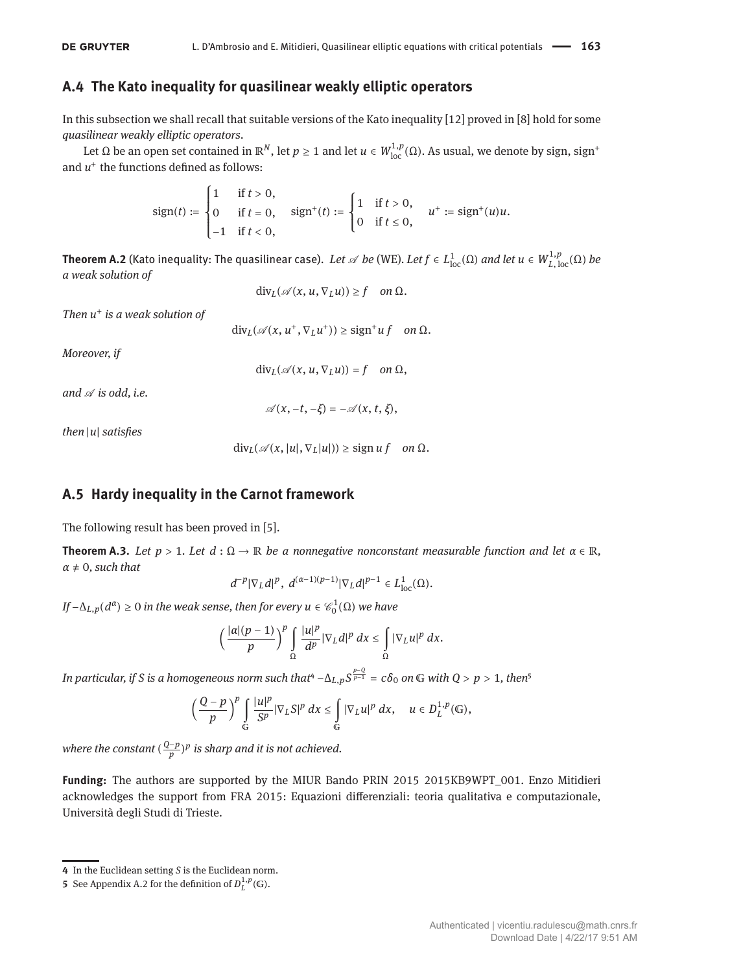### **A.4 The Kato inequality for quasilinear weakly elliptic operators**

In this subsection we shall recall that suitable versions of the Kato inequality [\[12\]](#page-17-18) proved in [\[8\]](#page-17-4) hold for some *quasilinear weakly elliptic operators*.

Let Ω be an open set contained in  $\mathbb{R}^N$ , let  $p \ge 1$  and let  $u \in W^{1,p}_{loc}(\Omega)$ . As usual, we denote by sign, sign<sup>+</sup> and  $u^+$  the functions defined as follows:

sign(t) := 
$$
\begin{cases} 1 & \text{if } t > 0, \\ 0 & \text{if } t = 0, \\ -1 & \text{if } t < 0, \end{cases}
$$
 sign<sup>+</sup>(t) := 
$$
\begin{cases} 1 & \text{if } t > 0, \\ 0 & \text{if } t \le 0, \end{cases}
$$
 u<sup>+</sup> := sign<sup>+</sup>(u)u.

**Theorem A.2** (Kato inequality: The quasilinear case). *Let*  $\mathscr A$  *be* [\(WE\)](#page-2-2). *Let*  $f\in L^1_{\rm loc}(\Omega)$  *and let*  $u\in W^{1,p}_{L,\,{\rm loc}}(\Omega)$  *be a weak solution of*

 $div_L(\mathscr{A}(x, u, \nabla_L u)) \geq f$  *on*  $\Omega$ .

*Then u* + *is a weak solution of*

 $\text{div}_L(\mathscr{A}(x, u^+, \nabla_L u^+)) \geq \text{sign}^+ u f$  *on*  $\Omega$ *.* 

*Moreover, if*

$$
\text{div}_L(\mathcal{A}(x,u,\nabla_Lu))=f \quad on \ \Omega,
$$

and  $\mathscr A$  *is odd, i.e.* 

 $\mathscr{A}(x, -t, -\xi) = -\mathscr{A}(x, t, \xi),$ 

*then* |*u*| *satisfies*

 $div_L(\mathscr{A}(x, |u|, \nabla_L|u|)) \geq$  sign *u* f *on*  $\Omega$ .

### **A.5 Hardy inequality in the Carnot framework**

The following result has been proved in [\[5\]](#page-17-12).

<span id="page-16-0"></span>**Theorem A.3.** *Let*  $p > 1$ *. Let*  $d : \Omega \to \mathbb{R}$  *be a nonnegative nonconstant measurable function and let*  $\alpha \in \mathbb{R}$ *,*  $α ≠ 0$ *, such that* 

$$
d^{-p}|\nabla_L d|^p,\ d^{(\alpha-1)(p-1)}|\nabla_L d|^{p-1}\in L^1_{\text{loc}}(\Omega).
$$

*If*  $-\Delta$ <sub>*L*,*p*( $d^{\alpha}$ ) ≥ 0 *in the weak sense, then for every*  $u \in \mathcal{C}_0^1(\Omega)$  *we have*</sub>

$$
\left(\frac{|\alpha|(p-1)}{p}\right)^p \int\limits_{\Omega} \frac{|u|^p}{d^p} |\nabla_L d|^p\,dx \leq \int\limits_{\Omega} |\nabla_L u|^p\,dx.
$$

*In particular, if S is a homogeneous norm such that* $4 - \Delta_{L,p} S^{\frac{p-Q}{p-1}} = c \delta_0$  *<i>on*  $G$  with  $Q > p > 1$ , then $^5$ 

$$
\left(\frac{Q-p}{p}\right)^p \int\limits_{\mathbb{G}} \frac{|u|^p}{S^p} |\nabla_L S|^p \ dx \leq \int\limits_{\mathbb{G}} |\nabla_L u|^p \ dx, \quad u \in D^{1,p}_L(\mathbb{G}),
$$

where the constant  $(\frac{Q-p}{p})^p$  is sharp and it is not achieved.

**Funding:** The authors are supported by the MIUR Bando PRIN 2015 2015KB9WPT\_001. Enzo Mitidieri acknowledges the support from FRA 2015: Equazioni differenziali: teoria qualitativa e computazionale, Università degli Studi di Trieste.

<span id="page-16-1"></span>**<sup>4</sup>** In the Euclidean setting *S* is the Euclidean norm.

<span id="page-16-2"></span>**<sup>5</sup>** See Appendix [A.2](#page-14-0) for the definition of  $D^{1,p}_L(\mathbb{G})$ .